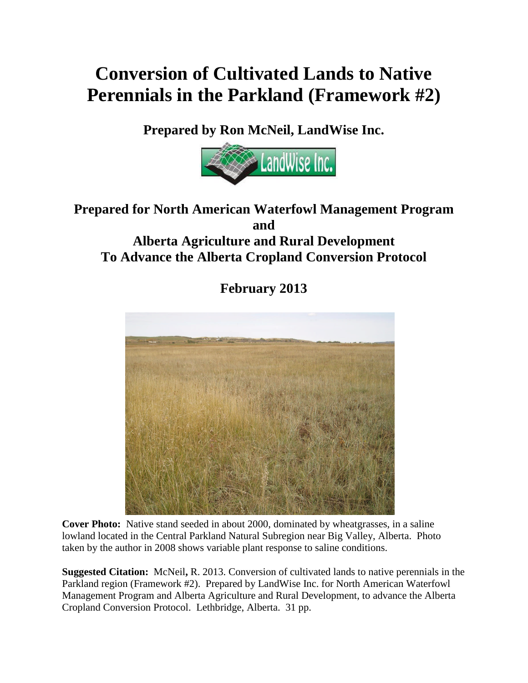# **Conversion of Cultivated Lands to Native Perennials in the Parkland (Framework #2)**

**Prepared by Ron McNeil, LandWise Inc.**



# **Prepared for North American Waterfowl Management Program and Alberta Agriculture and Rural Development To Advance the Alberta Cropland Conversion Protocol**

**February 2013**



**Cover Photo:** Native stand seeded in about 2000, dominated by wheatgrasses, in a saline lowland located in the Central Parkland Natural Subregion near Big Valley, Alberta. Photo taken by the author in 2008 shows variable plant response to saline conditions.

**Suggested Citation:** McNeil**,** R. 2013. Conversion of cultivated lands to native perennials in the Parkland region (Framework #2). Prepared by LandWise Inc. for North American Waterfowl Management Program and Alberta Agriculture and Rural Development, to advance the Alberta Cropland Conversion Protocol. Lethbridge, Alberta. 31 pp.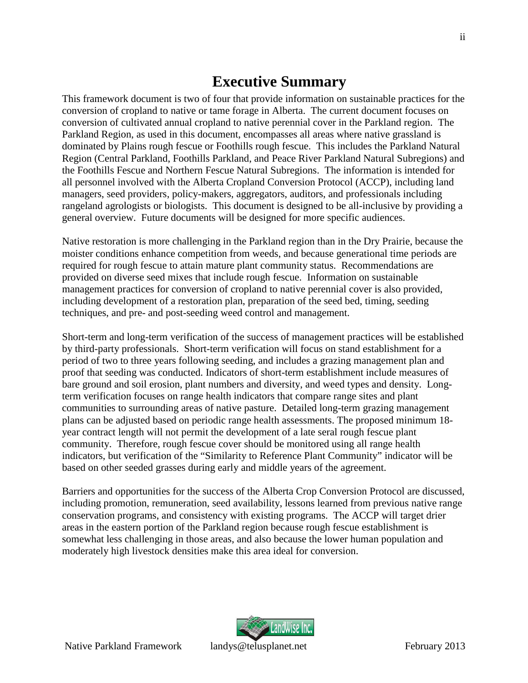# <span id="page-1-0"></span>**Executive Summary**

This framework document is two of four that provide information on sustainable practices for the conversion of cropland to native or tame forage in Alberta. The current document focuses on conversion of cultivated annual cropland to native perennial cover in the Parkland region. The Parkland Region, as used in this document, encompasses all areas where native grassland is dominated by Plains rough fescue or Foothills rough fescue. This includes the Parkland Natural Region (Central Parkland, Foothills Parkland, and Peace River Parkland Natural Subregions) and the Foothills Fescue and Northern Fescue Natural Subregions. The information is intended for all personnel involved with the Alberta Cropland Conversion Protocol (ACCP), including land managers, seed providers, policy-makers, aggregators, auditors, and professionals including rangeland agrologists or biologists. This document is designed to be all-inclusive by providing a general overview. Future documents will be designed for more specific audiences.

Native restoration is more challenging in the Parkland region than in the Dry Prairie, because the moister conditions enhance competition from weeds, and because generational time periods are required for rough fescue to attain mature plant community status. Recommendations are provided on diverse seed mixes that include rough fescue. Information on sustainable management practices for conversion of cropland to native perennial cover is also provided, including development of a restoration plan, preparation of the seed bed, timing, seeding techniques, and pre- and post-seeding weed control and management.

Short-term and long-term verification of the success of management practices will be established by third-party professionals. Short-term verification will focus on stand establishment for a period of two to three years following seeding, and includes a grazing management plan and proof that seeding was conducted. Indicators of short-term establishment include measures of bare ground and soil erosion, plant numbers and diversity, and weed types and density. Longterm verification focuses on range health indicators that compare range sites and plant communities to surrounding areas of native pasture. Detailed long-term grazing management plans can be adjusted based on periodic range health assessments. The proposed minimum 18 year contract length will not permit the development of a late seral rough fescue plant community. Therefore, rough fescue cover should be monitored using all range health indicators, but verification of the "Similarity to Reference Plant Community" indicator will be based on other seeded grasses during early and middle years of the agreement.

Barriers and opportunities for the success of the Alberta Crop Conversion Protocol are discussed, including promotion, remuneration, seed availability, lessons learned from previous native range conservation programs, and consistency with existing programs. The ACCP will target drier areas in the eastern portion of the Parkland region because rough fescue establishment is somewhat less challenging in those areas, and also because the lower human population and moderately high livestock densities make this area ideal for conversion.

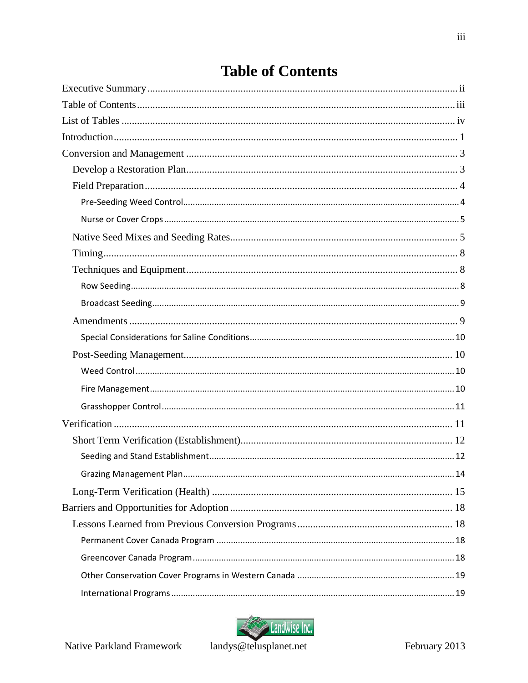$\overline{\text{iii}}$ 

# <span id="page-2-0"></span>**Table of Contents**



landys@telusplanet.net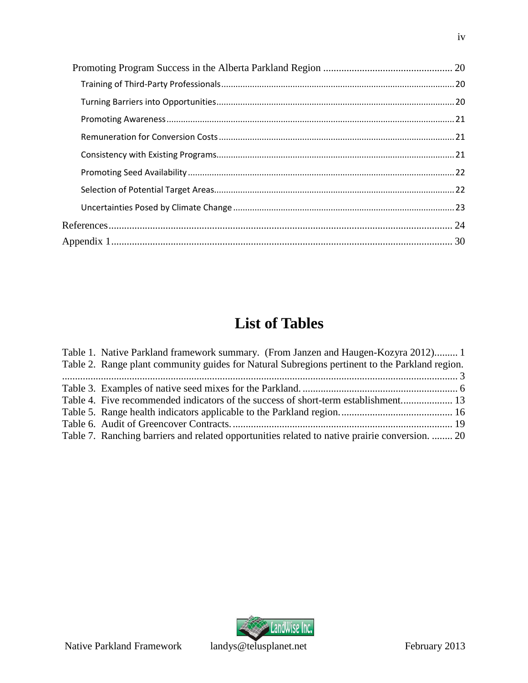# <span id="page-3-0"></span>**List of Tables**

| Table 1. Native Parkland framework summary. (From Janzen and Haugen-Kozyra 2012) 1             |  |
|------------------------------------------------------------------------------------------------|--|
| Table 2. Range plant community guides for Natural Subregions pertinent to the Parkland region. |  |
|                                                                                                |  |
|                                                                                                |  |
| Table 4. Five recommended indicators of the success of short-term establishment 13             |  |
|                                                                                                |  |
|                                                                                                |  |
| Table 7. Ranching barriers and related opportunities related to native prairie conversion.  20 |  |

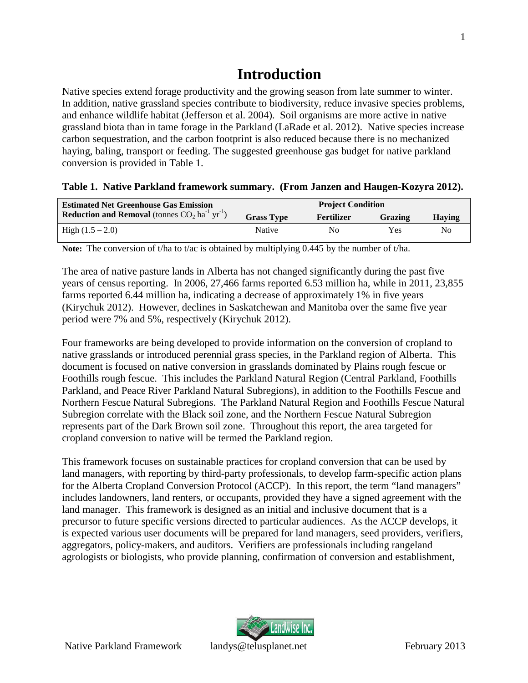# <span id="page-4-0"></span>**Introduction**

Native species extend forage productivity and the growing season from late summer to winter. In addition, native grassland species contribute to biodiversity, reduce invasive species problems, and enhance wildlife habitat (Jefferson et al. 2004). Soil organisms are more active in native grassland biota than in tame forage in the Parkland (LaRade et al. 2012). Native species increase carbon sequestration, and the carbon footprint is also reduced because there is no mechanized haying, baling, transport or feeding. The suggested greenhouse gas budget for native parkland conversion is provided in Table 1.

#### <span id="page-4-1"></span>**Table 1. Native Parkland framework summary. (From Janzen and Haugen-Kozyra 2012).**

| <b>Estimated Net Greenhouse Gas Emission</b>                                    | <b>Project Condition</b> |            |         |        |  |  |  |
|---------------------------------------------------------------------------------|--------------------------|------------|---------|--------|--|--|--|
| <b>Reduction and Removal</b> (tonnes $CO_2$ ha <sup>-1</sup> yr <sup>-1</sup> ) | <b>Grass Type</b>        | Fertilizer | Grazing | Having |  |  |  |
| High $(1.5 - 2.0)$                                                              | Native                   | No         | Yes     | Nο     |  |  |  |

**Note:** The conversion of t/ha to t/ac is obtained by multiplying 0.445 by the number of t/ha.

The area of native pasture lands in Alberta has not changed significantly during the past five years of census reporting. In 2006, 27,466 farms reported 6.53 million ha, while in 2011, 23,855 farms reported 6.44 million ha, indicating a decrease of approximately 1% in five years (Kirychuk 2012). However, declines in Saskatchewan and Manitoba over the same five year period were 7% and 5%, respectively (Kirychuk 2012).

Four frameworks are being developed to provide information on the conversion of cropland to native grasslands or introduced perennial grass species, in the Parkland region of Alberta. This document is focused on native conversion in grasslands dominated by Plains rough fescue or Foothills rough fescue. This includes the Parkland Natural Region (Central Parkland, Foothills Parkland, and Peace River Parkland Natural Subregions), in addition to the Foothills Fescue and Northern Fescue Natural Subregions. The Parkland Natural Region and Foothills Fescue Natural Subregion correlate with the Black soil zone, and the Northern Fescue Natural Subregion represents part of the Dark Brown soil zone. Throughout this report, the area targeted for cropland conversion to native will be termed the Parkland region.

This framework focuses on sustainable practices for cropland conversion that can be used by land managers, with reporting by third-party professionals, to develop farm-specific action plans for the Alberta Cropland Conversion Protocol (ACCP). In this report, the term "land managers" includes landowners, land renters, or occupants, provided they have a signed agreement with the land manager. This framework is designed as an initial and inclusive document that is a precursor to future specific versions directed to particular audiences. As the ACCP develops, it is expected various user documents will be prepared for land managers, seed providers, verifiers, aggregators, policy-makers, and auditors. Verifiers are professionals including rangeland agrologists or biologists, who provide planning, confirmation of conversion and establishment,

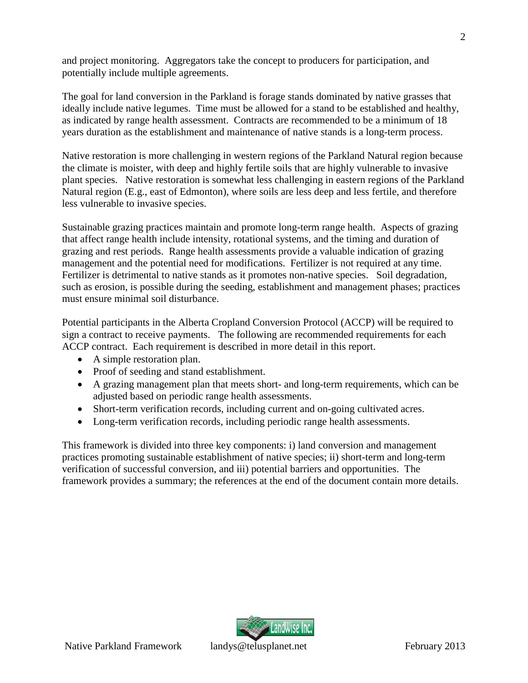and project monitoring. Aggregators take the concept to producers for participation, and potentially include multiple agreements.

The goal for land conversion in the Parkland is forage stands dominated by native grasses that ideally include native legumes. Time must be allowed for a stand to be established and healthy, as indicated by range health assessment. Contracts are recommended to be a minimum of 18 years duration as the establishment and maintenance of native stands is a long-term process.

Native restoration is more challenging in western regions of the Parkland Natural region because the climate is moister, with deep and highly fertile soils that are highly vulnerable to invasive plant species. Native restoration is somewhat less challenging in eastern regions of the Parkland Natural region (E.g., east of Edmonton), where soils are less deep and less fertile, and therefore less vulnerable to invasive species.

Sustainable grazing practices maintain and promote long-term range health. Aspects of grazing that affect range health include intensity, rotational systems, and the timing and duration of grazing and rest periods. Range health assessments provide a valuable indication of grazing management and the potential need for modifications. Fertilizer is not required at any time. Fertilizer is detrimental to native stands as it promotes non-native species. Soil degradation, such as erosion, is possible during the seeding, establishment and management phases; practices must ensure minimal soil disturbance.

Potential participants in the Alberta Cropland Conversion Protocol (ACCP) will be required to sign a contract to receive payments. The following are recommended requirements for each ACCP contract. Each requirement is described in more detail in this report.

- A simple restoration plan.
- Proof of seeding and stand establishment.
- A grazing management plan that meets short- and long-term requirements, which can be adjusted based on periodic range health assessments.
- Short-term verification records, including current and on-going cultivated acres.
- Long-term verification records, including periodic range health assessments.

This framework is divided into three key components: i) land conversion and management practices promoting sustainable establishment of native species; ii) short-term and long-term verification of successful conversion, and iii) potential barriers and opportunities. The framework provides a summary; the references at the end of the document contain more details.

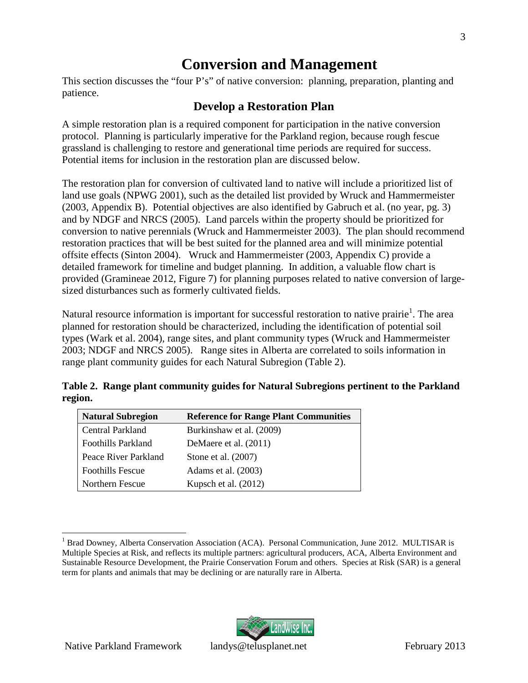LandWise Inc.

# <span id="page-6-0"></span>**Conversion and Management**

This section discusses the "four P's" of native conversion: planning, preparation, planting and patience.

# <span id="page-6-1"></span>**Develop a Restoration Plan**

A simple restoration plan is a required component for participation in the native conversion protocol. Planning is particularly imperative for the Parkland region, because rough fescue grassland is challenging to restore and generational time periods are required for success. Potential items for inclusion in the restoration plan are discussed below.

The restoration plan for conversion of cultivated land to native will include a prioritized list of land use goals (NPWG 2001), such as the detailed list provided by Wruck and Hammermeister (2003, Appendix B). Potential objectives are also identified by Gabruch et al. (no year, pg. 3) and by NDGF and NRCS (2005). Land parcels within the property should be prioritized for conversion to native perennials (Wruck and Hammermeister 2003). The plan should recommend restoration practices that will be best suited for the planned area and will minimize potential offsite effects (Sinton 2004). Wruck and Hammermeister (2003, Appendix C) provide a detailed framework for timeline and budget planning. In addition, a valuable flow chart is provided (Gramineae 2012, Figure 7) for planning purposes related to native conversion of largesized disturbances such as formerly cultivated fields.

Natural resource information is important for successful restoration to native prairie<sup>1</sup>[.](#page-6-3) [Th](#page-6-3)e area planned for restoration should be characterized, including the identification of potential soil types (Wark et al. 2004), range sites, and plant community types (Wruck and Hammermeister 2003; NDGF and NRCS 2005). Range sites in Alberta are correlated to soils information in range plant community guides for each Natural Subregion (Table 2).

<span id="page-6-2"></span>

|         | Table 2. Range plant community guides for Natural Subregions pertinent to the Parkland |  |  |
|---------|----------------------------------------------------------------------------------------|--|--|
| region. |                                                                                        |  |  |

| <b>Natural Subregion</b>  | <b>Reference for Range Plant Communities</b> |
|---------------------------|----------------------------------------------|
| Central Parkland          | Burkinshaw et al. (2009)                     |
| <b>Foothills Parkland</b> | DeMaere et al. (2011)                        |
| Peace River Parkland      | Stone et al. (2007)                          |
| <b>Foothills Fescue</b>   | Adams et al. (2003)                          |
| Northern Fescue           | Kupsch et al. $(2012)$                       |



<span id="page-6-3"></span><sup>&</sup>lt;sup>1</sup> Brad Downey, Alberta Conservation Association (ACA). Personal Communication, June 2012. MULTISAR is Multiple Species at Risk, and reflects its multiple partners: agricultural producers, ACA, Alberta Environment and Sustainable Resource Development, the Prairie Conservation Forum and others. Species at Risk (SAR) is a general term for plants and animals that may be declining or are naturally rare in Alberta.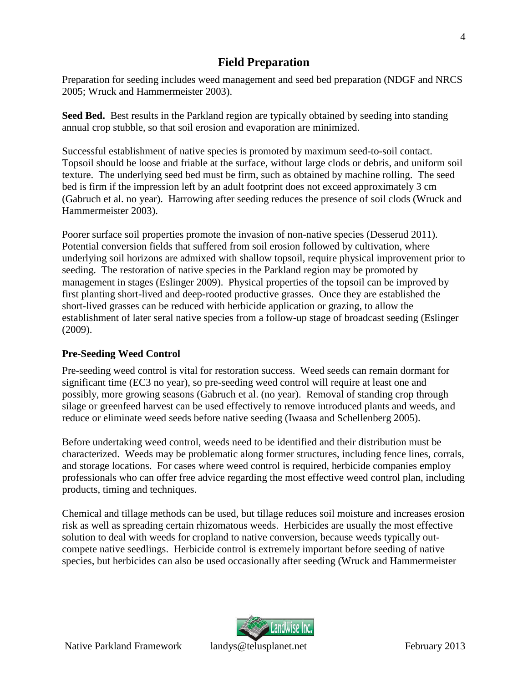# <span id="page-7-0"></span>**Field Preparation**

Preparation for seeding includes weed management and seed bed preparation (NDGF and NRCS 2005; Wruck and Hammermeister 2003).

**Seed Bed.** Best results in the Parkland region are typically obtained by seeding into standing annual crop stubble, so that soil erosion and evaporation are minimized.

Successful establishment of native species is promoted by maximum seed-to-soil contact. Topsoil should be loose and friable at the surface, without large clods or debris, and uniform soil texture. The underlying seed bed must be firm, such as obtained by machine rolling. The seed bed is firm if the impression left by an adult footprint does not exceed approximately 3 cm (Gabruch et al. no year). Harrowing after seeding reduces the presence of soil clods (Wruck and Hammermeister 2003).

Poorer surface soil properties promote the invasion of non-native species (Desserud 2011). Potential conversion fields that suffered from soil erosion followed by cultivation, where underlying soil horizons are admixed with shallow topsoil, require physical improvement prior to seeding. The restoration of native species in the Parkland region may be promoted by management in stages (Eslinger 2009). Physical properties of the topsoil can be improved by first planting short-lived and deep-rooted productive grasses. Once they are established the short-lived grasses can be reduced with herbicide application or grazing, to allow the establishment of later seral native species from a follow-up stage of broadcast seeding (Eslinger (2009).

# <span id="page-7-1"></span>**Pre-Seeding Weed Control**

Pre-seeding weed control is vital for restoration success. Weed seeds can remain dormant for significant time (EC3 no year), so pre-seeding weed control will require at least one and possibly, more growing seasons (Gabruch et al. (no year). Removal of standing crop through silage or greenfeed harvest can be used effectively to remove introduced plants and weeds, and reduce or eliminate weed seeds before native seeding (Iwaasa and Schellenberg 2005).

Before undertaking weed control, weeds need to be identified and their distribution must be characterized. Weeds may be problematic along former structures, including fence lines, corrals, and storage locations. For cases where weed control is required, herbicide companies employ professionals who can offer free advice regarding the most effective weed control plan, including products, timing and techniques.

Chemical and tillage methods can be used, but tillage reduces soil moisture and increases erosion risk as well as spreading certain rhizomatous weeds. Herbicides are usually the most effective solution to deal with weeds for cropland to native conversion, because weeds typically outcompete native seedlings. Herbicide control is extremely important before seeding of native species, but herbicides can also be used occasionally after seeding (Wruck and Hammermeister

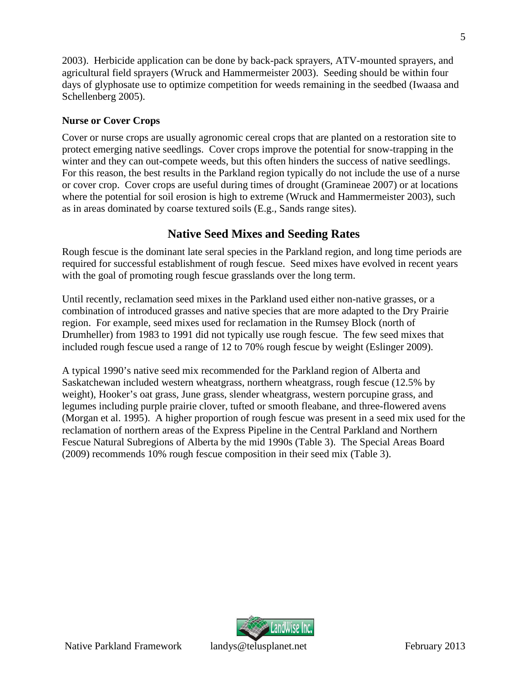2003). Herbicide application can be done by back-pack sprayers, ATV-mounted sprayers, and agricultural field sprayers (Wruck and Hammermeister 2003). Seeding should be within four days of glyphosate use to optimize competition for weeds remaining in the seedbed (Iwaasa and Schellenberg 2005).

## <span id="page-8-0"></span>**Nurse or Cover Crops**

Cover or nurse crops are usually agronomic cereal crops that are planted on a restoration site to protect emerging native seedlings. Cover crops improve the potential for snow-trapping in the winter and they can out-compete weeds, but this often hinders the success of native seedlings. For this reason, the best results in the Parkland region typically do not include the use of a nurse or cover crop. Cover crops are useful during times of drought (Gramineae 2007) or at locations where the potential for soil erosion is high to extreme (Wruck and Hammermeister 2003), such as in areas dominated by coarse textured soils (E.g., Sands range sites).

# <span id="page-8-1"></span>**Native Seed Mixes and Seeding Rates**

Rough fescue is the dominant late seral species in the Parkland region, and long time periods are required for successful establishment of rough fescue. Seed mixes have evolved in recent years with the goal of promoting rough fescue grasslands over the long term.

Until recently, reclamation seed mixes in the Parkland used either non-native grasses, or a combination of introduced grasses and native species that are more adapted to the Dry Prairie region. For example, seed mixes used for reclamation in the Rumsey Block (north of Drumheller) from 1983 to 1991 did not typically use rough fescue. The few seed mixes that included rough fescue used a range of 12 to 70% rough fescue by weight (Eslinger 2009).

A typical 1990's native seed mix recommended for the Parkland region of Alberta and Saskatchewan included western wheatgrass, northern wheatgrass, rough fescue (12.5% by weight), Hooker's oat grass, June grass, slender wheatgrass, western porcupine grass, and legumes including purple prairie clover, tufted or smooth fleabane, and three-flowered avens (Morgan et al. 1995). A higher proportion of rough fescue was present in a seed mix used for the reclamation of northern areas of the Express Pipeline in the Central Parkland and Northern Fescue Natural Subregions of Alberta by the mid 1990s (Table 3). The Special Areas Board (2009) recommends 10% rough fescue composition in their seed mix (Table 3).

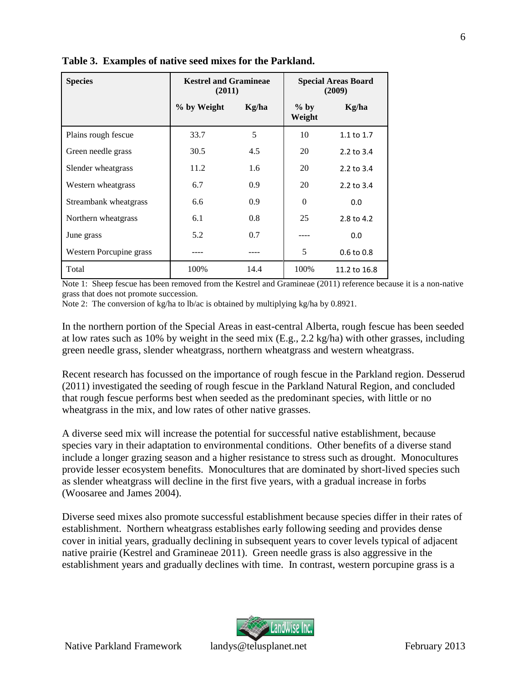| <b>Species</b>          | <b>Kestrel and Gramineae</b><br>(2011) |       |                  | <b>Special Areas Board</b><br>(2009) |
|-------------------------|----------------------------------------|-------|------------------|--------------------------------------|
|                         | % by Weight                            | Kg/ha | $%$ by<br>Weight | Kg/ha                                |
| Plains rough fescue     | 33.7                                   | 5     | 10               | 1.1 to 1.7                           |
| Green needle grass      | 30.5                                   | 4.5   | 20               | 2.2 to 3.4                           |
| Slender wheatgrass      | 11.2                                   | 1.6   | 20               | $2.2$ to $3.4$                       |
| Western wheatgrass      | 6.7                                    | 0.9   | 20               | 2.2 to 3.4                           |
| Streambank wheatgrass   | 6.6                                    | 0.9   | $\Omega$         | 0.0                                  |
| Northern wheatgrass     | 6.1                                    | 0.8   | 25               | 2.8 to 4.2                           |
| June grass              | 5.2                                    | 0.7   |                  | 0.0                                  |
| Western Porcupine grass |                                        |       | 5                | $0.6$ to $0.8$                       |
| Total                   | 100%                                   | 14.4  | 100%             | 11.2 to 16.8                         |

<span id="page-9-0"></span>**Table 3. Examples of native seed mixes for the Parkland.**

Note 1: Sheep fescue has been removed from the Kestrel and Gramineae (2011) reference because it is a non-native grass that does not promote succession.

Note 2: The conversion of kg/ha to lb/ac is obtained by multiplying kg/ha by 0.8921.

In the northern portion of the Special Areas in east-central Alberta, rough fescue has been seeded at low rates such as 10% by weight in the seed mix (E.g., 2.2 kg/ha) with other grasses, including green needle grass, slender wheatgrass, northern wheatgrass and western wheatgrass.

Recent research has focussed on the importance of rough fescue in the Parkland region. Desserud (2011) investigated the seeding of rough fescue in the Parkland Natural Region, and concluded that rough fescue performs best when seeded as the predominant species, with little or no wheatgrass in the mix, and low rates of other native grasses.

A diverse seed mix will increase the potential for successful native establishment, because species vary in their adaptation to environmental conditions. Other benefits of a diverse stand include a longer grazing season and a higher resistance to stress such as drought. Monocultures provide lesser ecosystem benefits. Monocultures that are dominated by short-lived species such as slender wheatgrass will decline in the first five years, with a gradual increase in forbs (Woosaree and James 2004).

Diverse seed mixes also promote successful establishment because species differ in their rates of establishment. Northern wheatgrass establishes early following seeding and provides dense cover in initial years, gradually declining in subsequent years to cover levels typical of adjacent native prairie (Kestrel and Gramineae 2011). Green needle grass is also aggressive in the establishment years and gradually declines with time. In contrast, western porcupine grass is a

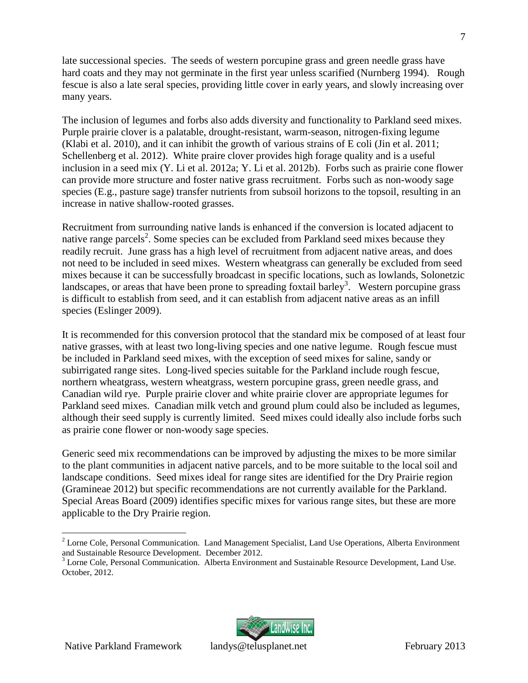late successional species. The seeds of western porcupine grass and green needle grass have hard coats and they may not germinate in the first year unless scarified (Nurnberg 1994). Rough fescue is also a late seral species, providing little cover in early years, and slowly increasing over many years.

The inclusion of legumes and forbs also adds diversity and functionality to Parkland seed mixes. Purple prairie clover is a palatable, drought-resistant, warm-season, nitrogen-fixing legume (Klabi et al. 2010), and it can inhibit the growth of various strains of E coli (Jin et al. 2011; Schellenberg et al. 2012). White praire clover provides high forage quality and is a useful inclusion in a seed mix (Y. Li et al. 2012a; Y. Li et al. 2012b). Forbs such as prairie cone flower can provide more structure and foster native grass recruitment. Forbs such as non-woody sage species (E.g., pasture sage) transfer nutrients from subsoil horizons to the topsoil, resulting in an increase in native shallow-rooted grasses.

Recruitment from surrounding native lands is enhanced if the conversion is located adjacent to native range parcels<sup>2</sup>[.](#page-10-0) Some species can be excluded from Parkland seed mixes because they readily recruit. June grass has a high level of recruitment from adjacent native areas, and does not need to be included in seed mixes. Western wheatgrass can generally be excluded from seed mixes because it can be successfully broadcast in specific locations, such as lowlands, Solonetzic landscapes, or areas that have been prone to spreading foxtail barley<sup>3</sup>[.](#page-10-1) Western porcupine grass is difficult to establish from seed, and it can establish from adjacent native areas as an infill species (Eslinger 2009).

It is recommended for this conversion protocol that the standard mix be composed of at least four native grasses, with at least two long-living species and one native legume. Rough fescue must be included in Parkland seed mixes, with the exception of seed mixes for saline, sandy or subirrigated range sites. Long-lived species suitable for the Parkland include rough fescue, northern wheatgrass, western wheatgrass, western porcupine grass, green needle grass, and Canadian wild rye. Purple prairie clover and white prairie clover are appropriate legumes for Parkland seed mixes. Canadian milk vetch and ground plum could also be included as legumes, although their seed supply is currently limited. Seed mixes could ideally also include forbs such as prairie cone flower or non-woody sage species.

Generic seed mix recommendations can be improved by adjusting the mixes to be more similar to the plant communities in adjacent native parcels, and to be more suitable to the local soil and landscape conditions. Seed mixes ideal for range sites are identified for the Dry Prairie region (Gramineae 2012) but specific recommendations are not currently available for the Parkland. Special Areas Board (2009) identifies specific mixes for various range sites, but these are more applicable to the Dry Prairie region.



<span id="page-10-0"></span><sup>&</sup>lt;sup>2</sup> Lorne Cole, Personal Communication. Land Management Specialist, Land Use Operations, Alberta Environment and Sustainable Resource Development. December 2012.

<span id="page-10-1"></span><sup>&</sup>lt;sup>3</sup> Lorne Cole, Personal Communication. Alberta Environment and Sustainable Resource Development, Land Use. October, 2012.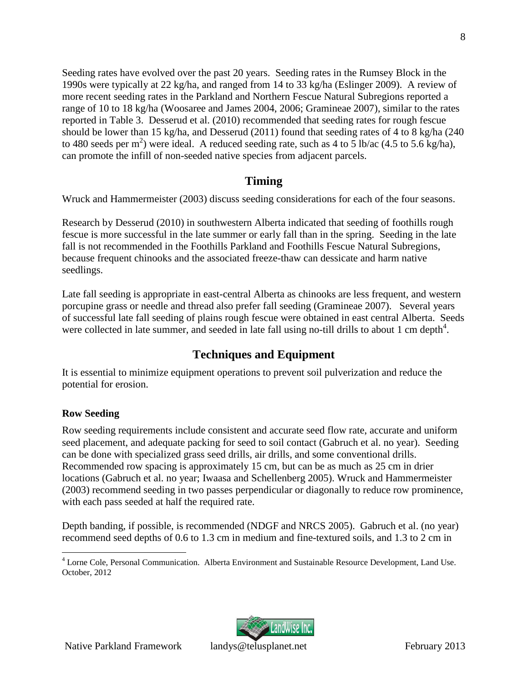Seeding rates have evolved over the past 20 years. Seeding rates in the Rumsey Block in the 1990s were typically at 22 kg/ha, and ranged from 14 to 33 kg/ha (Eslinger 2009). A review of more recent seeding rates in the Parkland and Northern Fescue Natural Subregions reported a range of 10 to 18 kg/ha (Woosaree and James 2004, 2006; Gramineae 2007), similar to the rates reported in Table 3. Desserud et al. (2010) recommended that seeding rates for rough fescue should be lower than 15 kg/ha, and Desserud (2011) found that seeding rates of 4 to 8 kg/ha (240 to 480 seeds per m<sup>2</sup>) were ideal. A reduced seeding rate, such as 4 to 5 lb/ac (4.5 to 5.6 kg/ha), can promote the infill of non-seeded native species from adjacent parcels.

# <span id="page-11-0"></span>**Timing**

Wruck and Hammermeister (2003) discuss seeding considerations for each of the four seasons.

Research by Desserud (2010) in southwestern Alberta indicated that seeding of foothills rough fescue is more successful in the late summer or early fall than in the spring. Seeding in the late fall is not recommended in the Foothills Parkland and Foothills Fescue Natural Subregions, because frequent chinooks and the associated freeze-thaw can dessicate and harm native seedlings.

Late fall seeding is appropriate in east-central Alberta as chinooks are less frequent, and western porcupine grass or needle and thread also prefer fall seeding (Gramineae 2007). Several years of successful late fall seeding of plains rough fescue were obtained in east central Alberta. Seeds were collected in late summer, and seeded in late fall using no-till drills to about 1 cm depth $4$ [.](#page-11-3)

# <span id="page-11-1"></span>**Techniques and Equipment**

It is essential to minimize equipment operations to prevent soil pulverization and reduce the potential for erosion.

# <span id="page-11-2"></span>**Row Seeding**

Row seeding requirements include consistent and accurate seed flow rate, accurate and uniform seed placement, and adequate packing for seed to soil contact (Gabruch et al. no year). Seeding can be done with specialized grass seed drills, air drills, and some conventional drills. Recommended row spacing is approximately 15 cm, but can be as much as 25 cm in drier locations (Gabruch et al. no year; Iwaasa and Schellenberg 2005). Wruck and Hammermeister (2003) recommend seeding in two passes perpendicular or diagonally to reduce row prominence, with each pass seeded at half the required rate.

Depth banding, if possible, is recommended (NDGF and NRCS 2005). Gabruch et al. (no year) recommend seed depths of 0.6 to 1.3 cm in medium and fine-textured soils, and 1.3 to 2 cm in



8

<span id="page-11-3"></span><sup>&</sup>lt;sup>4</sup> Lorne Cole, Personal Communication. Alberta Environment and Sustainable Resource Development, Land Use. October, 2012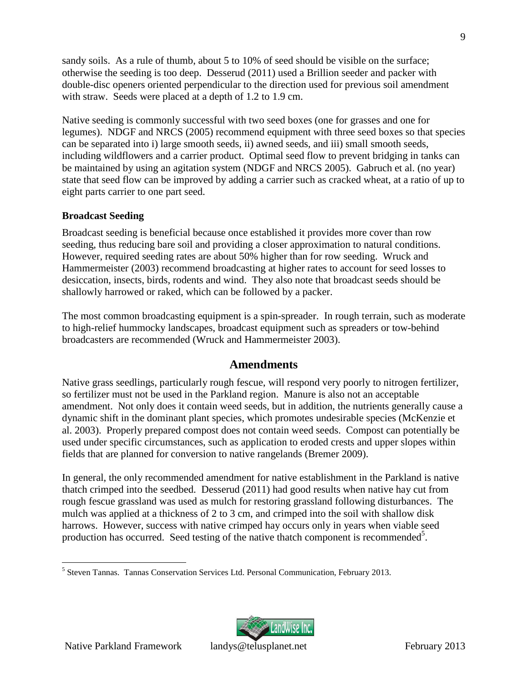sandy soils. As a rule of thumb, about 5 to 10% of seed should be visible on the surface; otherwise the seeding is too deep. Desserud (2011) used a Brillion seeder and packer with double-disc openers oriented perpendicular to the direction used for previous soil amendment with straw. Seeds were placed at a depth of 1.2 to 1.9 cm.

Native seeding is commonly successful with two seed boxes (one for grasses and one for legumes). NDGF and NRCS (2005) recommend equipment with three seed boxes so that species can be separated into i) large smooth seeds, ii) awned seeds, and iii) small smooth seeds, including wildflowers and a carrier product. Optimal seed flow to prevent bridging in tanks can be maintained by using an agitation system (NDGF and NRCS 2005). Gabruch et al. (no year) state that seed flow can be improved by adding a carrier such as cracked wheat, at a ratio of up to eight parts carrier to one part seed.

## <span id="page-12-0"></span>**Broadcast Seeding**

Broadcast seeding is beneficial because once established it provides more cover than row seeding, thus reducing bare soil and providing a closer approximation to natural conditions. However, required seeding rates are about 50% higher than for row seeding. Wruck and Hammermeister (2003) recommend broadcasting at higher rates to account for seed losses to desiccation, insects, birds, rodents and wind. They also note that broadcast seeds should be shallowly harrowed or raked, which can be followed by a packer.

The most common broadcasting equipment is a spin-spreader. In rough terrain, such as moderate to high-relief hummocky landscapes, broadcast equipment such as spreaders or tow-behind broadcasters are recommended (Wruck and Hammermeister 2003).

# <span id="page-12-1"></span>**Amendments**

Native grass seedlings, particularly rough fescue, will respond very poorly to nitrogen fertilizer, so fertilizer must not be used in the Parkland region. Manure is also not an acceptable amendment. Not only does it contain weed seeds, but in addition, the nutrients generally cause a dynamic shift in the dominant plant species, which promotes undesirable species (McKenzie et al. 2003). Properly prepared compost does not contain weed seeds. Compost can potentially be used under specific circumstances, such as application to eroded crests and upper slopes within fields that are planned for conversion to native rangelands (Bremer 2009).

In general, the only recommended amendment for native establishment in the Parkland is native thatch crimped into the seedbed. Desserud (2011) had good results when native hay cut from rough fescue grassland was used as mulch for restoring grassland following disturbances. The mulch was applied at a thickness of 2 to 3 cm, and crimped into the soil with shallow disk harrows. However, success with native crimped hay occurs only in years when viable seed production has occurred[.](#page-12-2) Seed testing of the native thatch component is recommended<sup>5</sup>.



<span id="page-12-2"></span><sup>5</sup> Steven Tannas. Tannas Conservation Services Ltd. Personal Communication, February 2013.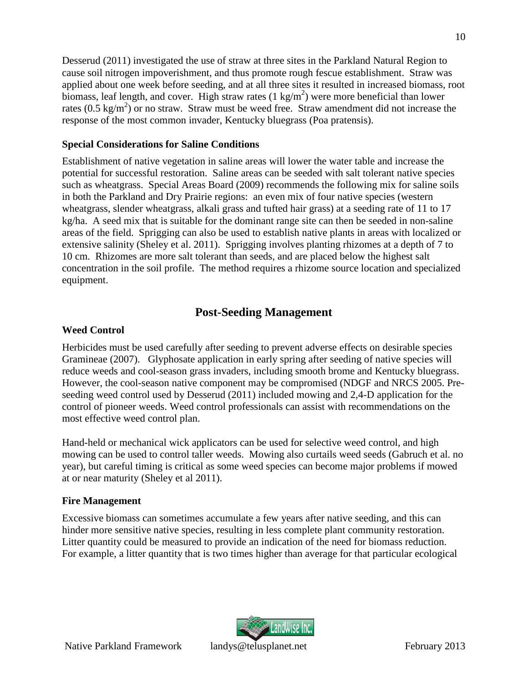Desserud (2011) investigated the use of straw at three sites in the Parkland Natural Region to cause soil nitrogen impoverishment, and thus promote rough fescue establishment. Straw was applied about one week before seeding, and at all three sites it resulted in increased biomass, root biomass, leaf length, and cover. High straw rates  $(1 \text{ kg/m}^2)$  were more beneficial than lower rates  $(0.5 \text{ kg/m}^2)$  or no straw. Straw must be weed free. Straw amendment did not increase the response of the most common invader, Kentucky bluegrass (Poa pratensis).

#### <span id="page-13-0"></span>**Special Considerations for Saline Conditions**

Establishment of native vegetation in saline areas will lower the water table and increase the potential for successful restoration. Saline areas can be seeded with salt tolerant native species such as wheatgrass. Special Areas Board (2009) recommends the following mix for saline soils in both the Parkland and Dry Prairie regions: an even mix of four native species (western wheatgrass, slender wheatgrass, alkali grass and tufted hair grass) at a seeding rate of 11 to 17 kg/ha. A seed mix that is suitable for the dominant range site can then be seeded in non-saline areas of the field. Sprigging can also be used to establish native plants in areas with localized or extensive salinity (Sheley et al. 2011). Sprigging involves planting rhizomes at a depth of 7 to 10 cm. Rhizomes are more salt tolerant than seeds, and are placed below the highest salt concentration in the soil profile. The method requires a rhizome source location and specialized equipment.

# <span id="page-13-1"></span>**Post-Seeding Management**

## <span id="page-13-2"></span>**Weed Control**

Herbicides must be used carefully after seeding to prevent adverse effects on desirable species Gramineae (2007). Glyphosate application in early spring after seeding of native species will reduce weeds and cool-season grass invaders, including smooth brome and Kentucky bluegrass. However, the cool-season native component may be compromised (NDGF and NRCS 2005. Preseeding weed control used by Desserud (2011) included mowing and 2,4-D application for the control of pioneer weeds. Weed control professionals can assist with recommendations on the most effective weed control plan.

Hand-held or mechanical wick applicators can be used for selective weed control, and high mowing can be used to control taller weeds. Mowing also curtails weed seeds (Gabruch et al. no year), but careful timing is critical as some weed species can become major problems if mowed at or near maturity (Sheley et al 2011).

## <span id="page-13-3"></span>**Fire Management**

Excessive biomass can sometimes accumulate a few years after native seeding, and this can hinder more sensitive native species, resulting in less complete plant community restoration. Litter quantity could be measured to provide an indication of the need for biomass reduction. For example, a litter quantity that is two times higher than average for that particular ecological

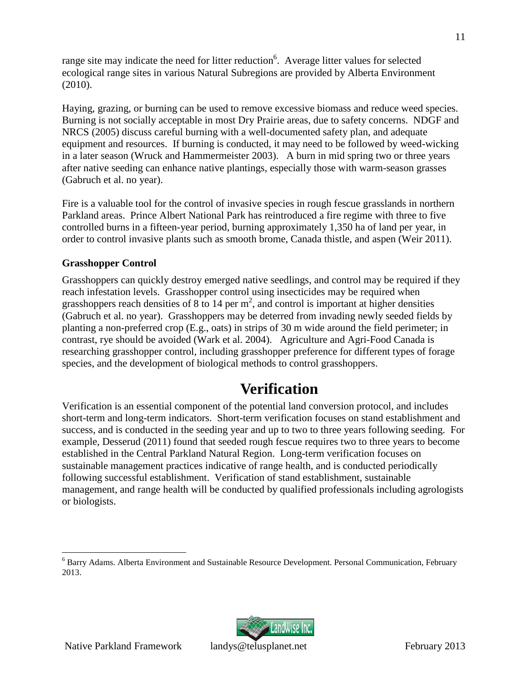range site may indicate the need for litter reduction<sup>6</sup>[.](#page-14-2) Average litter values for selected ecological range sites in various Natural Subregions are provided by Alberta Environment (2010).

Haying, grazing, or burning can be used to remove excessive biomass and reduce weed species. Burning is not socially acceptable in most Dry Prairie areas, due to safety concerns. NDGF and NRCS (2005) discuss careful burning with a well-documented safety plan, and adequate equipment and resources. If burning is conducted, it may need to be followed by weed-wicking in a later season (Wruck and Hammermeister 2003). A burn in mid spring two or three years after native seeding can enhance native plantings, especially those with warm-season grasses (Gabruch et al. no year).

Fire is a valuable tool for the control of invasive species in rough fescue grasslands in northern Parkland areas. Prince Albert National Park has reintroduced a fire regime with three to five controlled burns in a fifteen-year period, burning approximately 1,350 ha of land per year, in order to control invasive plants such as smooth brome, Canada thistle, and aspen (Weir 2011).

## <span id="page-14-0"></span>**Grasshopper Control**

Grasshoppers can quickly destroy emerged native seedlings, and control may be required if they reach infestation levels. Grasshopper control using insecticides may be required when grasshoppers reach densities of 8 to 14 per  $m^2$ , and control is important at higher densities (Gabruch et al. no year). Grasshoppers may be deterred from invading newly seeded fields by planting a non-preferred crop (E.g., oats) in strips of 30 m wide around the field perimeter; in contrast, rye should be avoided (Wark et al. 2004). Agriculture and Agri-Food Canada is researching grasshopper control, including grasshopper preference for different types of forage species, and the development of biological methods to control grasshoppers.

# <span id="page-14-1"></span>**Verification**

Verification is an essential component of the potential land conversion protocol, and includes short-term and long-term indicators. Short-term verification focuses on stand establishment and success, and is conducted in the seeding year and up to two to three years following seeding. For example, Desserud (2011) found that seeded rough fescue requires two to three years to become established in the Central Parkland Natural Region. Long-term verification focuses on sustainable management practices indicative of range health, and is conducted periodically following successful establishment. Verification of stand establishment, sustainable management, and range health will be conducted by qualified professionals including agrologists or biologists.



11

<span id="page-14-2"></span><sup>6</sup> Barry Adams. Alberta Environment and Sustainable Resource Development. Personal Communication, February 2013.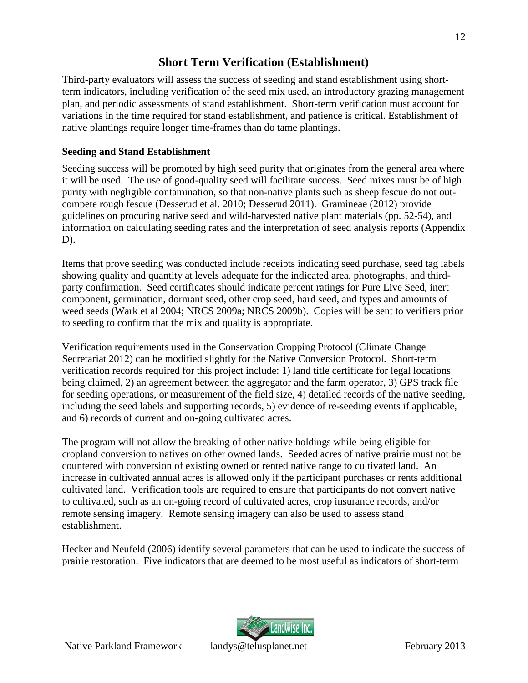# <span id="page-15-0"></span>**Short Term Verification (Establishment)**

Third-party evaluators will assess the success of seeding and stand establishment using shortterm indicators, including verification of the seed mix used, an introductory grazing management plan, and periodic assessments of stand establishment. Short-term verification must account for variations in the time required for stand establishment, and patience is critical. Establishment of native plantings require longer time-frames than do tame plantings.

## <span id="page-15-1"></span>**Seeding and Stand Establishment**

Seeding success will be promoted by high seed purity that originates from the general area where it will be used. The use of good-quality seed will facilitate success. Seed mixes must be of high purity with negligible contamination, so that non-native plants such as sheep fescue do not outcompete rough fescue (Desserud et al. 2010; Desserud 2011). Gramineae (2012) provide guidelines on procuring native seed and wild-harvested native plant materials (pp. 52-54), and information on calculating seeding rates and the interpretation of seed analysis reports (Appendix D).

Items that prove seeding was conducted include receipts indicating seed purchase, seed tag labels showing quality and quantity at levels adequate for the indicated area, photographs, and thirdparty confirmation. Seed certificates should indicate percent ratings for Pure Live Seed, inert component, germination, dormant seed, other crop seed, hard seed, and types and amounts of weed seeds (Wark et al 2004; NRCS 2009a; NRCS 2009b). Copies will be sent to verifiers prior to seeding to confirm that the mix and quality is appropriate.

Verification requirements used in the Conservation Cropping Protocol (Climate Change Secretariat 2012) can be modified slightly for the Native Conversion Protocol. Short-term verification records required for this project include: 1) land title certificate for legal locations being claimed, 2) an agreement between the aggregator and the farm operator, 3) GPS track file for seeding operations, or measurement of the field size, 4) detailed records of the native seeding, including the seed labels and supporting records, 5) evidence of re-seeding events if applicable, and 6) records of current and on-going cultivated acres.

The program will not allow the breaking of other native holdings while being eligible for cropland conversion to natives on other owned lands. Seeded acres of native prairie must not be countered with conversion of existing owned or rented native range to cultivated land. An increase in cultivated annual acres is allowed only if the participant purchases or rents additional cultivated land. Verification tools are required to ensure that participants do not convert native to cultivated, such as an on-going record of cultivated acres, crop insurance records, and/or remote sensing imagery. Remote sensing imagery can also be used to assess stand establishment.

Hecker and Neufeld (2006) identify several parameters that can be used to indicate the success of prairie restoration. Five indicators that are deemed to be most useful as indicators of short-term



12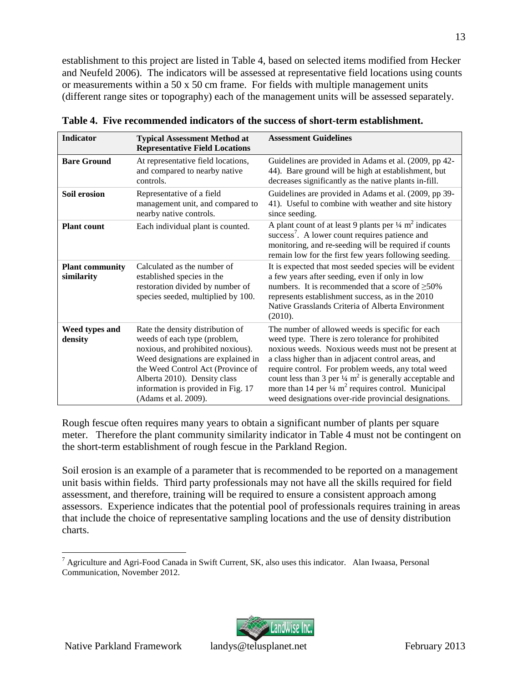establishment to this project are listed in Table 4, based on selected items modified from Hecker and Neufeld 2006). The indicators will be assessed at representative field locations using counts or measurements within a 50 x 50 cm frame. For fields with multiple management units (different range sites or topography) each of the management units will be assessed separately.

| <b>Indicator</b>                     | <b>Typical Assessment Method at</b><br><b>Representative Field Locations</b>                                                                                                                                                                                                   | <b>Assessment Guidelines</b>                                                                                                                                                                                                                                                                                                                                                                                                                                                                    |
|--------------------------------------|--------------------------------------------------------------------------------------------------------------------------------------------------------------------------------------------------------------------------------------------------------------------------------|-------------------------------------------------------------------------------------------------------------------------------------------------------------------------------------------------------------------------------------------------------------------------------------------------------------------------------------------------------------------------------------------------------------------------------------------------------------------------------------------------|
| <b>Bare Ground</b>                   | At representative field locations,<br>and compared to nearby native<br>controls.                                                                                                                                                                                               | Guidelines are provided in Adams et al. (2009, pp 42-<br>44). Bare ground will be high at establishment, but<br>decreases significantly as the native plants in-fill.                                                                                                                                                                                                                                                                                                                           |
| <b>Soil erosion</b>                  | Representative of a field<br>management unit, and compared to<br>nearby native controls.                                                                                                                                                                                       | Guidelines are provided in Adams et al. (2009, pp 39-<br>41). Useful to combine with weather and site history<br>since seeding.                                                                                                                                                                                                                                                                                                                                                                 |
| <b>Plant count</b>                   | Each individual plant is counted.                                                                                                                                                                                                                                              | A plant count of at least 9 plants per $\frac{1}{4}$ m <sup>2</sup> indicates<br>success <sup>7</sup> . A lower count requires patience and<br>monitoring, and re-seeding will be required if counts<br>remain low for the first few years following seeding.                                                                                                                                                                                                                                   |
| <b>Plant community</b><br>similarity | Calculated as the number of<br>established species in the<br>restoration divided by number of<br>species seeded, multiplied by 100.                                                                                                                                            | It is expected that most seeded species will be evident<br>a few years after seeding, even if only in low<br>numbers. It is recommended that a score of $\geq 50\%$<br>represents establishment success, as in the 2010<br>Native Grasslands Criteria of Alberta Environment<br>(2010).                                                                                                                                                                                                         |
| Weed types and<br>density            | Rate the density distribution of<br>weeds of each type (problem,<br>noxious, and prohibited noxious).<br>Weed designations are explained in<br>the Weed Control Act (Province of<br>Alberta 2010). Density class<br>information is provided in Fig. 17<br>(Adams et al. 2009). | The number of allowed weeds is specific for each<br>weed type. There is zero tolerance for prohibited<br>noxious weeds. Noxious weeds must not be present at<br>a class higher than in adjacent control areas, and<br>require control. For problem weeds, any total weed<br>count less than 3 per $\frac{1}{4}$ m <sup>2</sup> is generally acceptable and<br>more than 14 per $\frac{1}{4}$ m <sup>2</sup> requires control. Municipal<br>weed designations over-ride provincial designations. |

<span id="page-16-0"></span>**Table 4. Five recommended indicators of the success of short-term establishment.**

Rough fescue often requires many years to obtain a significant number of plants per square meter. Therefore the plant community similarity indicator in Table 4 must not be contingent on the short-term establishment of rough fescue in the Parkland Region.

Soil erosion is an example of a parameter that is recommended to be reported on a management unit basis within fields. Third party professionals may not have all the skills required for field assessment, and therefore, training will be required to ensure a consistent approach among assessors. Experience indicates that the potential pool of professionals requires training in areas that include the choice of representative sampling locations and the use of density distribution charts.



<span id="page-16-1"></span><sup>7</sup> Agriculture and Agri-Food Canada in Swift Current, SK, also uses this indicator. Alan Iwaasa, Personal Communication, November 2012.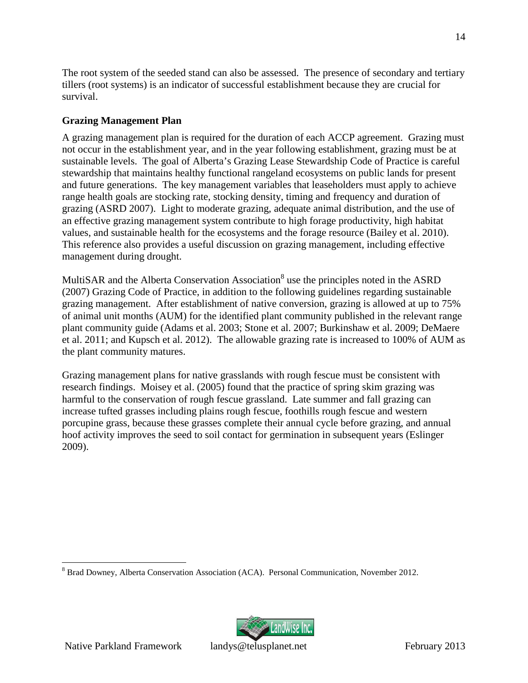The root system of the seeded stand can also be assessed. The presence of secondary and tertiary tillers (root systems) is an indicator of successful establishment because they are crucial for survival.

## <span id="page-17-0"></span>**Grazing Management Plan**

A grazing management plan is required for the duration of each ACCP agreement. Grazing must not occur in the establishment year, and in the year following establishment, grazing must be at sustainable levels. The goal of Alberta's Grazing Lease Stewardship Code of Practice is careful stewardship that maintains healthy functional rangeland ecosystems on public lands for present and future generations. The key management variables that leaseholders must apply to achieve range health goals are stocking rate, stocking density, timing and frequency and duration of grazing (ASRD 2007). Light to moderate grazing, adequate animal distribution, and the use of an effective grazing management system contribute to high forage productivity, high habitat values, and sustainable health for the ecosystems and the forage resource (Bailey et al. 2010). This reference also provides a useful discussion on grazing management, including effective management during drought.

M[u](#page-17-1)ltiSAR and the Alberta Conservation Association<sup>8</sup> use the principles noted in the ASRD (2007) Grazing Code of Practice, in addition to the following guidelines regarding sustainable grazing management. After establishment of native conversion, grazing is allowed at up to 75% of animal unit months (AUM) for the identified plant community published in the relevant range plant community guide (Adams et al. 2003; Stone et al. 2007; Burkinshaw et al. 2009; DeMaere et al. 2011; and Kupsch et al. 2012). The allowable grazing rate is increased to 100% of AUM as the plant community matures.

Grazing management plans for native grasslands with rough fescue must be consistent with research findings. Moisey et al. (2005) found that the practice of spring skim grazing was harmful to the conservation of rough fescue grassland. Late summer and fall grazing can increase tufted grasses including plains rough fescue, foothills rough fescue and western porcupine grass, because these grasses complete their annual cycle before grazing, and annual hoof activity improves the seed to soil contact for germination in subsequent years (Eslinger 2009).



<span id="page-17-1"></span><sup>&</sup>lt;sup>8</sup> Brad Downey, Alberta Conservation Association (ACA). Personal Communication, November 2012.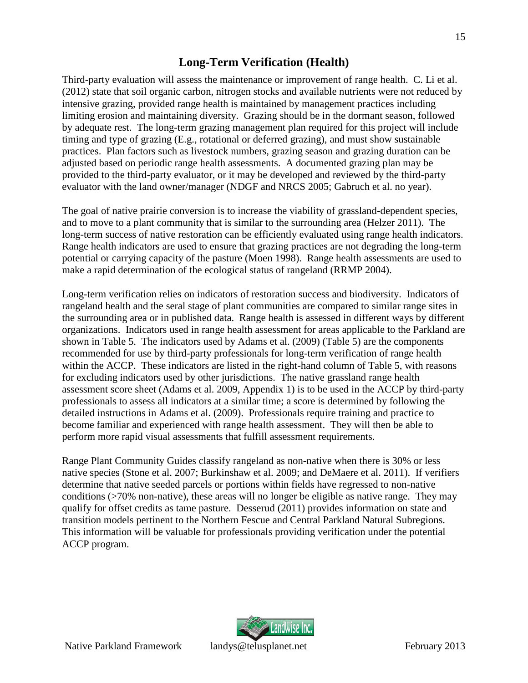# <span id="page-18-0"></span>**Long-Term Verification (Health)**

Third-party evaluation will assess the maintenance or improvement of range health. C. Li et al. (2012) state that soil organic carbon, nitrogen stocks and available nutrients were not reduced by intensive grazing, provided range health is maintained by management practices including limiting erosion and maintaining diversity. Grazing should be in the dormant season, followed by adequate rest. The long-term grazing management plan required for this project will include timing and type of grazing (E.g., rotational or deferred grazing), and must show sustainable practices. Plan factors such as livestock numbers, grazing season and grazing duration can be adjusted based on periodic range health assessments. A documented grazing plan may be provided to the third-party evaluator, or it may be developed and reviewed by the third-party evaluator with the land owner/manager (NDGF and NRCS 2005; Gabruch et al. no year).

The goal of native prairie conversion is to increase the viability of grassland-dependent species, and to move to a plant community that is similar to the surrounding area (Helzer 2011). The long-term success of native restoration can be efficiently evaluated using range health indicators. Range health indicators are used to ensure that grazing practices are not degrading the long-term potential or carrying capacity of the pasture (Moen 1998). Range health assessments are used to make a rapid determination of the ecological status of rangeland (RRMP 2004).

Long-term verification relies on indicators of restoration success and biodiversity. Indicators of rangeland health and the seral stage of plant communities are compared to similar range sites in the surrounding area or in published data. Range health is assessed in different ways by different organizations. Indicators used in range health assessment for areas applicable to the Parkland are shown in Table 5. The indicators used by Adams et al. (2009) (Table 5) are the components recommended for use by third-party professionals for long-term verification of range health within the ACCP. These indicators are listed in the right-hand column of Table 5, with reasons for excluding indicators used by other jurisdictions. The native grassland range health assessment score sheet (Adams et al. 2009, Appendix 1) is to be used in the ACCP by third-party professionals to assess all indicators at a similar time; a score is determined by following the detailed instructions in Adams et al. (2009). Professionals require training and practice to become familiar and experienced with range health assessment. They will then be able to perform more rapid visual assessments that fulfill assessment requirements.

Range Plant Community Guides classify rangeland as non-native when there is 30% or less native species (Stone et al. 2007; Burkinshaw et al. 2009; and DeMaere et al. 2011). If verifiers determine that native seeded parcels or portions within fields have regressed to non-native conditions (>70% non-native), these areas will no longer be eligible as native range. They may qualify for offset credits as tame pasture. Desserud (2011) provides information on state and transition models pertinent to the Northern Fescue and Central Parkland Natural Subregions. This information will be valuable for professionals providing verification under the potential ACCP program.

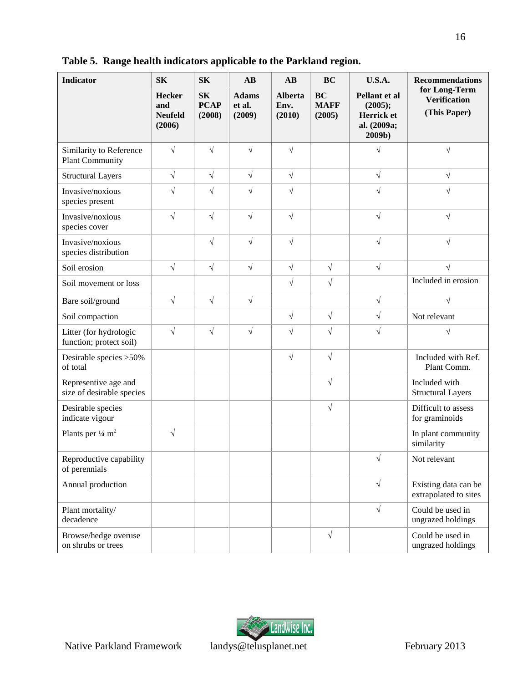| <b>Indicator</b>                                  | <b>SK</b>                                        | <b>SK</b>                          | AB                               | AB                               | <b>BC</b>                          | <b>U.S.A.</b>                                                   | <b>Recommendations</b>                               |
|---------------------------------------------------|--------------------------------------------------|------------------------------------|----------------------------------|----------------------------------|------------------------------------|-----------------------------------------------------------------|------------------------------------------------------|
|                                                   | <b>Hecker</b><br>and<br><b>Neufeld</b><br>(2006) | <b>SK</b><br><b>PCAP</b><br>(2008) | <b>Adams</b><br>et al.<br>(2009) | <b>Alberta</b><br>Env.<br>(2010) | <b>BC</b><br><b>MAFF</b><br>(2005) | Pellant et al<br>(2005);<br>Herrick et<br>al. (2009a;<br>2009b) | for Long-Term<br><b>Verification</b><br>(This Paper) |
| Similarity to Reference<br><b>Plant Community</b> | $\sqrt{ }$                                       | $\sqrt{ }$                         | $\sqrt{2}$                       | $\sqrt{}$                        |                                    |                                                                 | $\sqrt{ }$                                           |
| <b>Structural Layers</b>                          | $\sqrt{ }$                                       | $\sqrt{}$                          | $\sqrt{ }$                       | $\sqrt{2}$                       |                                    | $\sqrt{ }$                                                      | $\sqrt{}$                                            |
| Invasive/noxious<br>species present               | $\sqrt{}$                                        | $\sqrt{}$                          | $\sqrt{}$                        | $\sqrt{}$                        |                                    | $\sqrt{}$                                                       | $\sqrt{}$                                            |
| Invasive/noxious<br>species cover                 | $\sqrt{ }$                                       | $\sqrt{}$                          | $\sqrt{}$                        | $\sqrt{2}$                       |                                    | $\sqrt{ }$                                                      | $\sqrt{ }$                                           |
| Invasive/noxious<br>species distribution          |                                                  | $\sqrt{2}$                         | $\sqrt{2}$                       | $\sqrt{}$                        |                                    | $\sqrt{ }$                                                      | $\sqrt{ }$                                           |
| Soil erosion                                      | $\sqrt{ }$                                       | $\sqrt{}$                          | $\sqrt{ }$                       | $\sqrt{}$                        | $\sqrt{ }$                         | $\sqrt{ }$                                                      |                                                      |
| Soil movement or loss                             |                                                  |                                    |                                  | $\sqrt{}$                        | $\sqrt{}$                          |                                                                 | Included in erosion                                  |
| Bare soil/ground                                  | $\sqrt{ }$                                       | $\sqrt{}$                          | $\sqrt{}$                        |                                  |                                    | $\sqrt{ }$                                                      | $\sqrt{}$                                            |
| Soil compaction                                   |                                                  |                                    |                                  | $\sqrt{}$                        | $\sqrt{}$                          | $\sqrt{}$                                                       | Not relevant                                         |
| Litter (for hydrologic<br>function; protect soil) | $\sqrt{ }$                                       | $\sqrt{}$                          | $\sqrt{}$                        | $\sqrt{}$                        | $\sqrt{ }$                         | $\sqrt{}$                                                       | $\sqrt{}$                                            |
| Desirable species >50%<br>of total                |                                                  |                                    |                                  | $\sqrt{}$                        | $\sqrt{2}$                         |                                                                 | Included with Ref.<br>Plant Comm.                    |
| Representive age and<br>size of desirable species |                                                  |                                    |                                  |                                  | $\sqrt{2}$                         |                                                                 | Included with<br><b>Structural Layers</b>            |
| Desirable species<br>indicate vigour              |                                                  |                                    |                                  |                                  | $\sqrt{ }$                         |                                                                 | Difficult to assess<br>for graminoids                |
| Plants per $\frac{1}{4}$ m <sup>2</sup>           | $\sqrt{}$                                        |                                    |                                  |                                  |                                    |                                                                 | In plant community<br>similarity                     |
| Reproductive capability<br>of perennials          |                                                  |                                    |                                  |                                  |                                    | $\sqrt{2}$                                                      | Not relevant                                         |
| Annual production                                 |                                                  |                                    |                                  |                                  |                                    | $\sqrt{ }$                                                      | Existing data can be<br>extrapolated to sites        |
| Plant mortality/<br>decadence                     |                                                  |                                    |                                  |                                  |                                    | $\sqrt{ }$                                                      | Could be used in<br>ungrazed holdings                |
| Browse/hedge overuse<br>on shrubs or trees        |                                                  |                                    |                                  |                                  | $\sqrt{ }$                         |                                                                 | Could be used in<br>ungrazed holdings                |

<span id="page-19-0"></span>**Table 5. Range health indicators applicable to the Parkland region.**

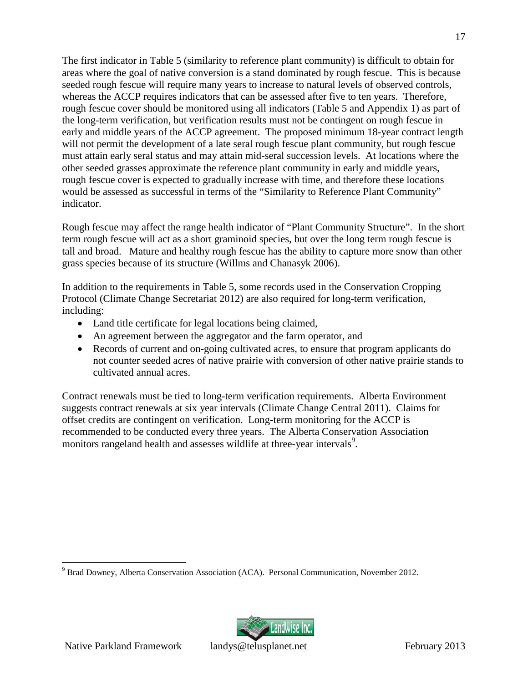The first indicator in Table 5 (similarity to reference plant community) is difficult to obtain for areas where the goal of native conversion is a stand dominated by rough fescue. This is because seeded rough fescue will require many years to increase to natural levels of observed controls, whereas the ACCP requires indicators that can be assessed after five to ten years. Therefore, rough fescue cover should be monitored using all indicators (Table 5 and Appendix 1) as part of the long-term verification, but verification results must not be contingent on rough fescue in early and middle years of the ACCP agreement. The proposed minimum 18-year contract length will not permit the development of a late seral rough fescue plant community, but rough fescue must attain early seral status and may attain mid-seral succession levels. At locations where the other seeded grasses approximate the reference plant community in early and middle years, rough fescue cover is expected to gradually increase with time, and therefore these locations would be assessed as successful in terms of the "Similarity to Reference Plant Community" indicator.

Rough fescue may affect the range health indicator of "Plant Community Structure". In the short term rough fescue will act as a short graminoid species, but over the long term rough fescue is tall and broad. Mature and healthy rough fescue has the ability to capture more snow than other grass species because of its structure (Willms and Chanasyk 2006).

In addition to the requirements in Table 5, some records used in the Conservation Cropping Protocol (Climate Change Secretariat 2012) are also required for long-term verification, including:

- Land title certificate for legal locations being claimed,
- An agreement between the aggregator and the farm operator, and
- Records of current and on-going cultivated acres, to ensure that program applicants do not counter seeded acres of native prairie with conversion of other native prairie stands to cultivated annual acres.

Contract renewals must be tied to long-term verification requirements. Alberta Environment suggests contract renewals at six year intervals (Climate Change Central 2011). Claims for offset credits are contingent on verification. Long-term monitoring for the ACCP is recommended to be conducted every three years. The Alberta Conservation Association monitors rangeland health and assesses wildlife at three-year intervals<sup>9</sup>[.](#page-20-0)



<span id="page-20-0"></span><sup>9</sup> Brad Downey, Alberta Conservation Association (ACA). Personal Communication, November 2012.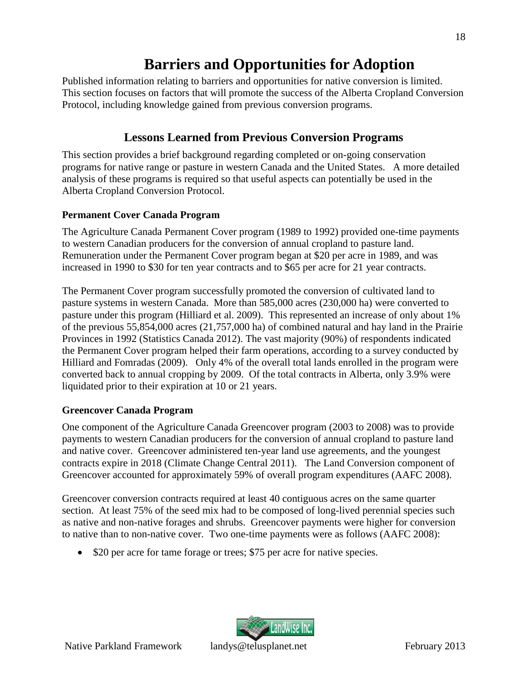# <span id="page-21-0"></span>**Barriers and Opportunities for Adoption**

Published information relating to barriers and opportunities for native conversion is limited. This section focuses on factors that will promote the success of the Alberta Cropland Conversion Protocol, including knowledge gained from previous conversion programs.

# <span id="page-21-1"></span>**Lessons Learned from Previous Conversion Programs**

This section provides a brief background regarding completed or on-going conservation programs for native range or pasture in western Canada and the United States. A more detailed analysis of these programs is required so that useful aspects can potentially be used in the Alberta Cropland Conversion Protocol.

## <span id="page-21-2"></span>**Permanent Cover Canada Program**

The Agriculture Canada Permanent Cover program (1989 to 1992) provided one-time payments to western Canadian producers for the conversion of annual cropland to pasture land. Remuneration under the Permanent Cover program began at \$20 per acre in 1989, and was increased in 1990 to \$30 for ten year contracts and to \$65 per acre for 21 year contracts.

The Permanent Cover program successfully promoted the conversion of cultivated land to pasture systems in western Canada. More than 585,000 acres (230,000 ha) were converted to pasture under this program (Hilliard et al. 2009). This represented an increase of only about 1% of the previous 55,854,000 acres (21,757,000 ha) of combined natural and hay land in the Prairie Provinces in 1992 (Statistics Canada 2012). The vast majority (90%) of respondents indicated the Permanent Cover program helped their farm operations, according to a survey conducted by Hilliard and Fomradas (2009). Only 4% of the overall total lands enrolled in the program were converted back to annual cropping by 2009. Of the total contracts in Alberta, only 3.9% were liquidated prior to their expiration at 10 or 21 years.

# <span id="page-21-3"></span>**Greencover Canada Program**

One component of the Agriculture Canada Greencover program (2003 to 2008) was to provide payments to western Canadian producers for the conversion of annual cropland to pasture land and native cover. Greencover administered ten-year land use agreements, and the youngest contracts expire in 2018 (Climate Change Central 2011). The Land Conversion component of Greencover accounted for approximately 59% of overall program expenditures (AAFC 2008).

Greencover conversion contracts required at least 40 contiguous acres on the same quarter section. At least 75% of the seed mix had to be composed of long-lived perennial species such as native and non-native forages and shrubs. Greencover payments were higher for conversion to native than to non-native cover. Two one-time payments were as follows (AAFC 2008):

• \$20 per acre for tame forage or trees; \$75 per acre for native species.

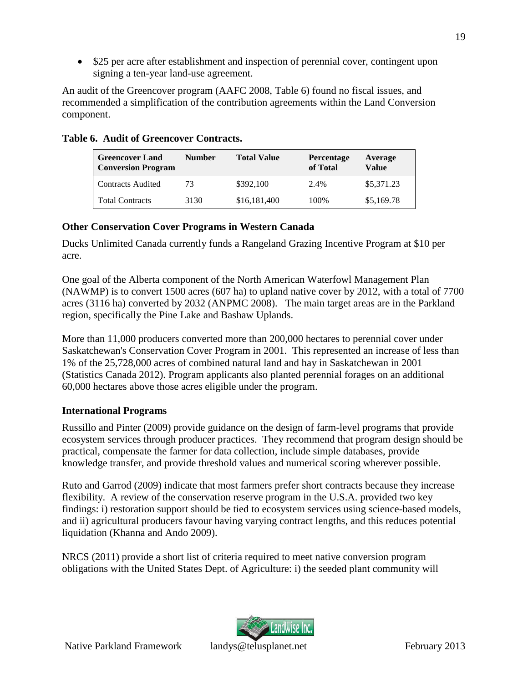• \$25 per acre after establishment and inspection of perennial cover, contingent upon signing a ten-year land-use agreement.

An audit of the Greencover program (AAFC 2008, Table 6) found no fiscal issues, and recommended a simplification of the contribution agreements within the Land Conversion component.

| <b>Greencover Land</b><br><b>Conversion Program</b> | Number | <b>Total Value</b> | <b>Percentage</b><br>of Total | Average<br>Value |
|-----------------------------------------------------|--------|--------------------|-------------------------------|------------------|
| <b>Contracts Audited</b>                            | 73     | \$392,100          | 2.4%                          | \$5,371.23       |
| <b>Total Contracts</b>                              | 3130   | \$16,181,400       | 100\%                         | \$5,169.78       |

## <span id="page-22-2"></span>**Table 6. Audit of Greencover Contracts.**

## <span id="page-22-0"></span>**Other Conservation Cover Programs in Western Canada**

Ducks Unlimited Canada currently funds a Rangeland Grazing Incentive Program at \$10 per acre.

One goal of the Alberta component of the North American Waterfowl Management Plan (NAWMP) is to convert 1500 acres (607 ha) to upland native cover by 2012, with a total of 7700 acres (3116 ha) converted by 2032 (ANPMC 2008). The main target areas are in the Parkland region, specifically the Pine Lake and Bashaw Uplands.

More than 11,000 producers converted more than 200,000 hectares to perennial cover under Saskatchewan's Conservation Cover Program in 2001. This represented an increase of less than 1% of the 25,728,000 acres of combined natural land and hay in Saskatchewan in 2001 (Statistics Canada 2012). Program applicants also planted perennial forages on an additional 60,000 hectares above those acres eligible under the program.

# <span id="page-22-1"></span>**International Programs**

Russillo and Pinter (2009) provide guidance on the design of farm-level programs that provide ecosystem services through producer practices. They recommend that program design should be practical, compensate the farmer for data collection, include simple databases, provide knowledge transfer, and provide threshold values and numerical scoring wherever possible.

Ruto and Garrod (2009) indicate that most farmers prefer short contracts because they increase flexibility. A review of the conservation reserve program in the U.S.A. provided two key findings: i) restoration support should be tied to ecosystem services using science-based models, and ii) agricultural producers favour having varying contract lengths, and this reduces potential liquidation (Khanna and Ando 2009).

NRCS (2011) provide a short list of criteria required to meet native conversion program obligations with the United States Dept. of Agriculture: i) the seeded plant community will

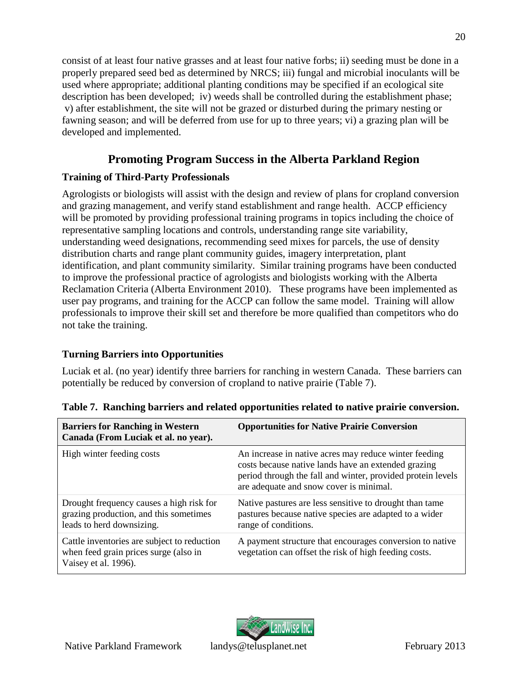consist of at least four native grasses and at least four native forbs; ii) seeding must be done in a properly prepared seed bed as determined by NRCS; iii) fungal and microbial inoculants will be used where appropriate; additional planting conditions may be specified if an ecological site description has been developed; iv) weeds shall be controlled during the establishment phase; v) after establishment, the site will not be grazed or disturbed during the primary nesting or fawning season; and will be deferred from use for up to three years; vi) a grazing plan will be developed and implemented.

# <span id="page-23-0"></span>**Promoting Program Success in the Alberta Parkland Region**

# <span id="page-23-1"></span>**Training of Third-Party Professionals**

Agrologists or biologists will assist with the design and review of plans for cropland conversion and grazing management, and verify stand establishment and range health. ACCP efficiency will be promoted by providing professional training programs in topics including the choice of representative sampling locations and controls, understanding range site variability, understanding weed designations, recommending seed mixes for parcels, the use of density distribution charts and range plant community guides, imagery interpretation, plant identification, and plant community similarity. Similar training programs have been conducted to improve the professional practice of agrologists and biologists working with the Alberta Reclamation Criteria (Alberta Environment 2010). These programs have been implemented as user pay programs, and training for the ACCP can follow the same model. Training will allow professionals to improve their skill set and therefore be more qualified than competitors who do not take the training.

# <span id="page-23-2"></span>**Turning Barriers into Opportunities**

Luciak et al. (no year) identify three barriers for ranching in western Canada. These barriers can potentially be reduced by conversion of cropland to native prairie (Table 7).

| <b>Barriers for Ranching in Western</b><br>Canada (From Luciak et al. no year).                                 | <b>Opportunities for Native Prairie Conversion</b>                                                                                                                                                                     |
|-----------------------------------------------------------------------------------------------------------------|------------------------------------------------------------------------------------------------------------------------------------------------------------------------------------------------------------------------|
| High winter feeding costs                                                                                       | An increase in native acres may reduce winter feeding<br>costs because native lands have an extended grazing<br>period through the fall and winter, provided protein levels<br>are adequate and snow cover is minimal. |
| Drought frequency causes a high risk for<br>grazing production, and this sometimes<br>leads to herd downsizing. | Native pastures are less sensitive to drought than tame<br>pastures because native species are adapted to a wider<br>range of conditions.                                                                              |
| Cattle inventories are subject to reduction<br>when feed grain prices surge (also in<br>Vaisey et al. 1996).    | A payment structure that encourages conversion to native<br>vegetation can offset the risk of high feeding costs.                                                                                                      |

<span id="page-23-3"></span>**Table 7. Ranching barriers and related opportunities related to native prairie conversion.**

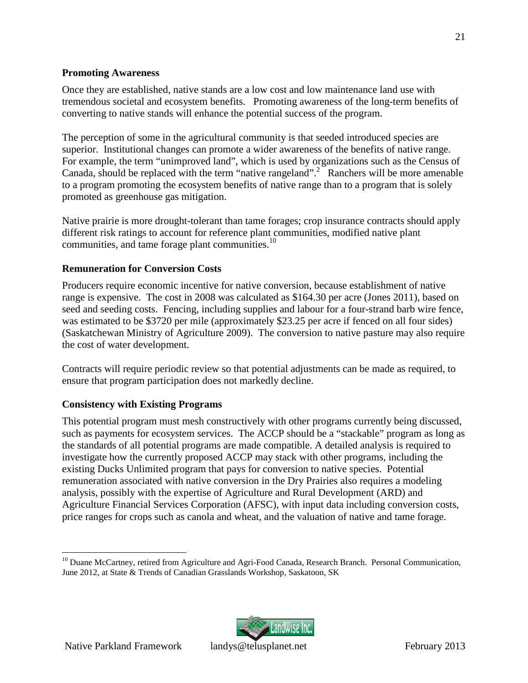## <span id="page-24-0"></span>**Promoting Awareness**

Once they are established, native stands are a low cost and low maintenance land use with tremendous societal and ecosystem benefits. Promoting awareness of the long-term benefits of converting to native stands will enhance the potential success of the program.

The perception of some in the agricultural community is that seeded introduced species are superior. Institutional changes can promote a wider awareness of the benefits of native range. For example, the term "unimproved land", which is used by organizations such as the Census of Canada, should be replaced with the term "native rangeland".<sup>2</sup> Ranchers will be more amenable to a program promoting the ecosystem benefits of native range than to a program that is solely promoted as greenhouse gas mitigation.

Native prairie is more drought-tolerant than tame forages; crop insurance contracts should apply different risk ratings to account for reference plant communities, modified native plant communities, and tame forage plant communities.<sup>1[0](#page-24-3)</sup>

## <span id="page-24-1"></span>**Remuneration for Conversion Costs**

Producers require economic incentive for native conversion, because establishment of native range is expensive. The cost in 2008 was calculated as \$164.30 per acre (Jones 2011), based on seed and seeding costs. Fencing, including supplies and labour for a four-strand barb wire fence, was estimated to be \$3720 per mile (approximately \$23.25 per acre if fenced on all four sides) (Saskatchewan Ministry of Agriculture 2009). The conversion to native pasture may also require the cost of water development.

Contracts will require periodic review so that potential adjustments can be made as required, to ensure that program participation does not markedly decline.

## <span id="page-24-2"></span>**Consistency with Existing Programs**

This potential program must mesh constructively with other programs currently being discussed, such as payments for ecosystem services. The ACCP should be a "stackable" program as long as the standards of all potential programs are made compatible. A detailed analysis is required to investigate how the currently proposed ACCP may stack with other programs, including the existing Ducks Unlimited program that pays for conversion to native species. Potential remuneration associated with native conversion in the Dry Prairies also requires a modeling analysis, possibly with the expertise of Agriculture and Rural Development (ARD) and Agriculture Financial Services Corporation (AFSC), with input data including conversion costs, price ranges for crops such as canola and wheat, and the valuation of native and tame forage.



<span id="page-24-3"></span><sup>&</sup>lt;sup>10</sup> Duane McCartney, retired from Agriculture and Agri-Food Canada, Research Branch. Personal Communication, June 2012, at State & Trends of Canadian Grasslands Workshop, Saskatoon, SK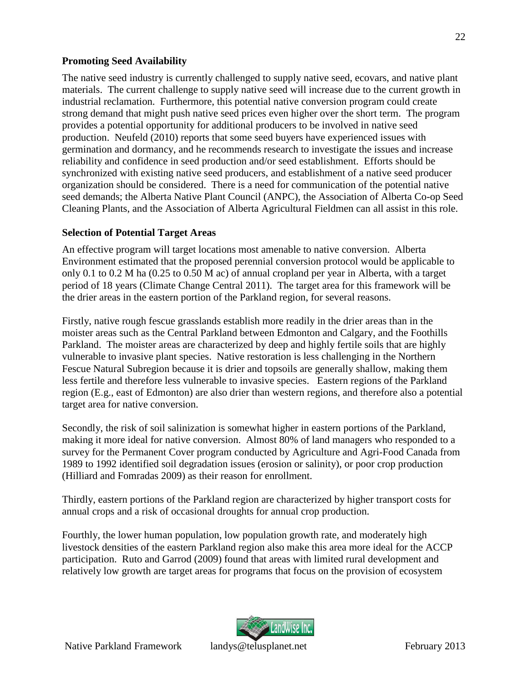## <span id="page-25-0"></span>**Promoting Seed Availability**

The native seed industry is currently challenged to supply native seed, ecovars, and native plant materials. The current challenge to supply native seed will increase due to the current growth in industrial reclamation. Furthermore, this potential native conversion program could create strong demand that might push native seed prices even higher over the short term. The program provides a potential opportunity for additional producers to be involved in native seed production. Neufeld (2010) reports that some seed buyers have experienced issues with germination and dormancy, and he recommends research to investigate the issues and increase reliability and confidence in seed production and/or seed establishment. Efforts should be synchronized with existing native seed producers, and establishment of a native seed producer organization should be considered. There is a need for communication of the potential native seed demands; the Alberta Native Plant Council (ANPC), the Association of Alberta Co-op Seed Cleaning Plants, and the Association of Alberta Agricultural Fieldmen can all assist in this role.

## <span id="page-25-1"></span>**Selection of Potential Target Areas**

An effective program will target locations most amenable to native conversion. Alberta Environment estimated that the proposed perennial conversion protocol would be applicable to only 0.1 to 0.2 M ha (0.25 to 0.50 M ac) of annual cropland per year in Alberta, with a target period of 18 years (Climate Change Central 2011). The target area for this framework will be the drier areas in the eastern portion of the Parkland region, for several reasons.

Firstly, native rough fescue grasslands establish more readily in the drier areas than in the moister areas such as the Central Parkland between Edmonton and Calgary, and the Foothills Parkland. The moister areas are characterized by deep and highly fertile soils that are highly vulnerable to invasive plant species. Native restoration is less challenging in the Northern Fescue Natural Subregion because it is drier and topsoils are generally shallow, making them less fertile and therefore less vulnerable to invasive species. Eastern regions of the Parkland region (E.g., east of Edmonton) are also drier than western regions, and therefore also a potential target area for native conversion.

Secondly, the risk of soil salinization is somewhat higher in eastern portions of the Parkland, making it more ideal for native conversion. Almost 80% of land managers who responded to a survey for the Permanent Cover program conducted by Agriculture and Agri-Food Canada from 1989 to 1992 identified soil degradation issues (erosion or salinity), or poor crop production (Hilliard and Fomradas 2009) as their reason for enrollment.

Thirdly, eastern portions of the Parkland region are characterized by higher transport costs for annual crops and a risk of occasional droughts for annual crop production.

Fourthly, the lower human population, low population growth rate, and moderately high livestock densities of the eastern Parkland region also make this area more ideal for the ACCP participation. Ruto and Garrod (2009) found that areas with limited rural development and relatively low growth are target areas for programs that focus on the provision of ecosystem



22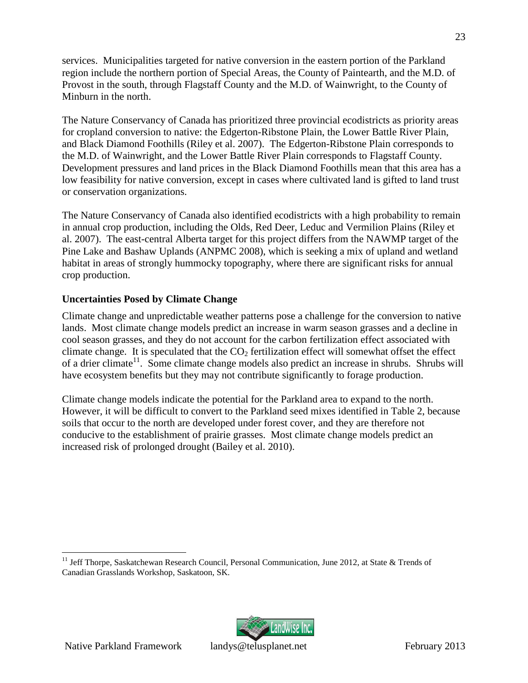services. Municipalities targeted for native conversion in the eastern portion of the Parkland region include the northern portion of Special Areas, the County of Paintearth, and the M.D. of Provost in the south, through Flagstaff County and the M.D. of Wainwright, to the County of Minburn in the north.

The Nature Conservancy of Canada has prioritized three provincial ecodistricts as priority areas for cropland conversion to native: the Edgerton-Ribstone Plain, the Lower Battle River Plain, and Black Diamond Foothills (Riley et al. 2007). The Edgerton-Ribstone Plain corresponds to the M.D. of Wainwright, and the Lower Battle River Plain corresponds to Flagstaff County. Development pressures and land prices in the Black Diamond Foothills mean that this area has a low feasibility for native conversion, except in cases where cultivated land is gifted to land trust or conservation organizations.

The Nature Conservancy of Canada also identified ecodistricts with a high probability to remain in annual crop production, including the Olds, Red Deer, Leduc and Vermilion Plains (Riley et al. 2007). The east-central Alberta target for this project differs from the NAWMP target of the Pine Lake and Bashaw Uplands (ANPMC 2008), which is seeking a mix of upland and wetland habitat in areas of strongly hummocky topography, where there are significant risks for annual crop production.

## <span id="page-26-0"></span>**Uncertainties Posed by Climate Change**

Climate change and unpredictable weather patterns pose a challenge for the conversion to native lands. Most climate change models predict an increase in warm season grasses and a decline in cool season grasses, and they do not account for the carbon fertilization effect associated with climate change. It is speculated that the  $CO<sub>2</sub>$  fertilization effect will somewhat offset the effect of a drier climate<sup>11</sup>[.](#page-26-1) Some climate change models also predict an increase in shrubs. Shrubs will have ecosystem benefits but they may not contribute significantly to forage production.

Climate change models indicate the potential for the Parkland area to expand to the north. However, it will be difficult to convert to the Parkland seed mixes identified in Table 2, because soils that occur to the north are developed under forest cover, and they are therefore not conducive to the establishment of prairie grasses. Most climate change models predict an increased risk of prolonged drought (Bailey et al. 2010).

![](_page_26_Picture_7.jpeg)

<span id="page-26-1"></span><sup>&</sup>lt;sup>11</sup> Jeff Thorpe, Saskatchewan Research Council, Personal Communication, June 2012, at State & Trends of Canadian Grasslands Workshop, Saskatoon, SK.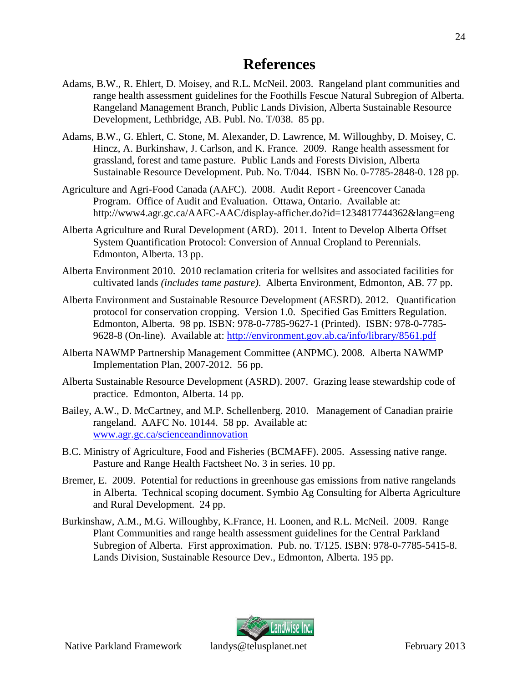- <span id="page-27-0"></span>Adams, B.W., R. Ehlert, D. Moisey, and R.L. McNeil. 2003. Rangeland plant communities and range health assessment guidelines for the Foothills Fescue Natural Subregion of Alberta. Rangeland Management Branch, Public Lands Division, Alberta Sustainable Resource Development, Lethbridge, AB. Publ. No. T/038. 85 pp.
- Adams, B.W., G. Ehlert, C. Stone, M. Alexander, D. Lawrence, M. Willoughby, D. Moisey, C. Hincz, A. Burkinshaw, J. Carlson, and K. France. 2009. Range health assessment for grassland, forest and tame pasture. Public Lands and Forests Division, Alberta Sustainable Resource Development. Pub. No. T/044. ISBN No. 0-7785-2848-0. 128 pp.
- Agriculture and Agri-Food Canada (AAFC). 2008. Audit Report Greencover Canada Program. Office of Audit and Evaluation. Ottawa, Ontario. Available at: http://www4.agr.gc.ca/AAFC-AAC/display-afficher.do?id=1234817744362&lang=eng
- Alberta Agriculture and Rural Development (ARD). 2011. Intent to Develop Alberta Offset System Quantification Protocol: Conversion of Annual Cropland to Perennials. Edmonton, Alberta. 13 pp.
- Alberta Environment 2010. 2010 reclamation criteria for wellsites and associated facilities for cultivated lands *(includes tame pasture)*. Alberta Environment, Edmonton, AB. 77 pp.
- Alberta Environment and Sustainable Resource Development (AESRD). 2012. Quantification protocol for conservation cropping. Version 1.0. Specified Gas Emitters Regulation. Edmonton, Alberta. 98 pp. ISBN: 978-0-7785-9627-1 (Printed). ISBN: 978-0-7785- 9628-8 (On-line). Available at: http://environment.gov.ab.ca/info/library/8561.pdf
- Alberta NAWMP Partnership Management Committee (ANPMC). 2008. Alberta NAWMP Implementation Plan, 2007-2012. 56 pp.
- Alberta Sustainable Resource Development (ASRD). 2007. Grazing lease stewardship code of practice. Edmonton, Alberta. 14 pp.
- Bailey, A.W., D. McCartney, and M.P. Schellenberg. 2010. Management of Canadian prairie rangeland. AAFC No. 10144. 58 pp. Available at: www.agr.gc.ca/scienceandinnovation
- B.C. Ministry of Agriculture, Food and Fisheries (BCMAFF). 2005. Assessing native range. Pasture and Range Health Factsheet No. 3 in series. 10 pp.
- Bremer, E. 2009. Potential for reductions in greenhouse gas emissions from native rangelands in Alberta. Technical scoping document. Symbio Ag Consulting for Alberta Agriculture and Rural Development. 24 pp.
- Burkinshaw, A.M., M.G. Willoughby, K.France, H. Loonen, and R.L. McNeil. 2009. Range Plant Communities and range health assessment guidelines for the Central Parkland Subregion of Alberta. First approximation. Pub. no. T/125. ISBN: 978-0-7785-5415-8. Lands Division, Sustainable Resource Dev., Edmonton, Alberta. 195 pp.

![](_page_27_Picture_13.jpeg)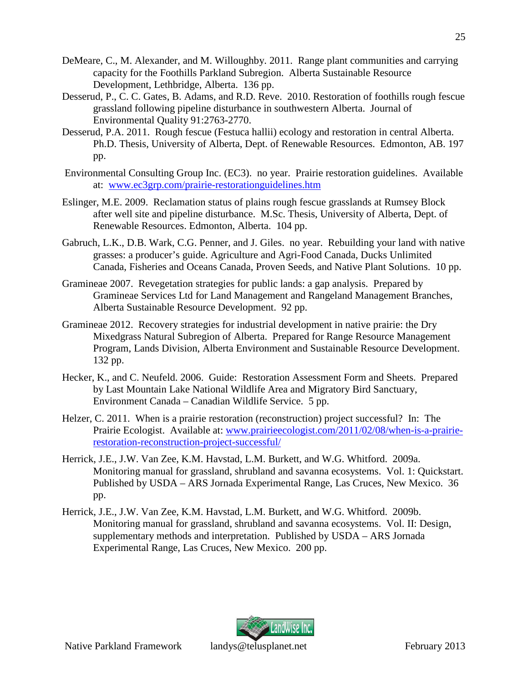- DeMeare, C., M. Alexander, and M. Willoughby. 2011. Range plant communities and carrying capacity for the Foothills Parkland Subregion. Alberta Sustainable Resource Development, Lethbridge, Alberta. 136 pp.
- Desserud, P., C. C. Gates, B. Adams, and R.D. Reve. 2010. Restoration of foothills rough fescue grassland following pipeline disturbance in southwestern Alberta. Journal of Environmental Quality 91:2763-2770.
- Desserud, P.A. 2011. Rough fescue (Festuca hallii) ecology and restoration in central Alberta. Ph.D. Thesis, University of Alberta, Dept. of Renewable Resources. Edmonton, AB. 197 pp.
- Environmental Consulting Group Inc. (EC3). no year. Prairie restoration guidelines. Available at: www.ec3grp.com/prairie-restorationguidelines.htm
- Eslinger, M.E. 2009. Reclamation status of plains rough fescue grasslands at Rumsey Block after well site and pipeline disturbance. M.Sc. Thesis, University of Alberta, Dept. of Renewable Resources. Edmonton, Alberta. 104 pp.
- Gabruch, L.K., D.B. Wark, C.G. Penner, and J. Giles. no year. Rebuilding your land with native grasses: a producer's guide. Agriculture and Agri-Food Canada, Ducks Unlimited Canada, Fisheries and Oceans Canada, Proven Seeds, and Native Plant Solutions. 10 pp.
- Gramineae 2007. Revegetation strategies for public lands: a gap analysis. Prepared by Gramineae Services Ltd for Land Management and Rangeland Management Branches, Alberta Sustainable Resource Development. 92 pp.
- Gramineae 2012. Recovery strategies for industrial development in native prairie: the Dry Mixedgrass Natural Subregion of Alberta. Prepared for Range Resource Management Program, Lands Division, Alberta Environment and Sustainable Resource Development. 132 pp.
- Hecker, K., and C. Neufeld. 2006. Guide: Restoration Assessment Form and Sheets. Prepared by Last Mountain Lake National Wildlife Area and Migratory Bird Sanctuary, Environment Canada – Canadian Wildlife Service. 5 pp.
- Helzer, C. 2011. When is a prairie restoration (reconstruction) project successful? In: The Prairie Ecologist. Available at: www.prairieecologist.com/2011/02/08/when-is-a-prairierestoration-reconstruction-project-successful/
- Herrick, J.E., J.W. Van Zee, K.M. Havstad, L.M. Burkett, and W.G. Whitford. 2009a. Monitoring manual for grassland, shrubland and savanna ecosystems. Vol. 1: Quickstart. Published by USDA – ARS Jornada Experimental Range, Las Cruces, New Mexico. 36 pp.
- Herrick, J.E., J.W. Van Zee, K.M. Havstad, L.M. Burkett, and W.G. Whitford. 2009b. Monitoring manual for grassland, shrubland and savanna ecosystems. Vol. II: Design, supplementary methods and interpretation. Published by USDA – ARS Jornada Experimental Range, Las Cruces, New Mexico. 200 pp.

![](_page_28_Picture_12.jpeg)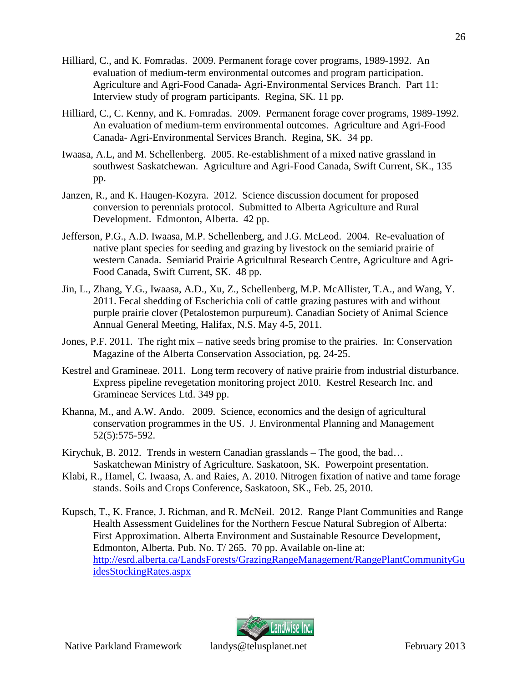- Hilliard, C., and K. Fomradas. 2009. Permanent forage cover programs, 1989-1992. An evaluation of medium-term environmental outcomes and program participation. Agriculture and Agri-Food Canada- Agri-Environmental Services Branch. Part 11: Interview study of program participants. Regina, SK. 11 pp.
- Hilliard, C., C. Kenny, and K. Fomradas. 2009. Permanent forage cover programs, 1989-1992. An evaluation of medium-term environmental outcomes. Agriculture and Agri-Food Canada- Agri-Environmental Services Branch. Regina, SK. 34 pp.
- Iwaasa, A.L, and M. Schellenberg. 2005. Re-establishment of a mixed native grassland in southwest Saskatchewan. Agriculture and Agri-Food Canada, Swift Current, SK., 135 pp.
- Janzen, R., and K. Haugen-Kozyra. 2012. Science discussion document for proposed conversion to perennials protocol. Submitted to Alberta Agriculture and Rural Development. Edmonton, Alberta. 42 pp.
- Jefferson, P.G., A.D. Iwaasa, M.P. Schellenberg, and J.G. McLeod. 2004. Re-evaluation of native plant species for seeding and grazing by livestock on the semiarid prairie of western Canada. Semiarid Prairie Agricultural Research Centre, Agriculture and Agri-Food Canada, Swift Current, SK. 48 pp.
- Jin, L., Zhang, Y.G., Iwaasa, A.D., Xu, Z., Schellenberg, M.P. McAllister, T.A., and Wang, Y. 2011. Fecal shedding of Escherichia coli of cattle grazing pastures with and without purple prairie clover (Petalostemon purpureum). Canadian Society of Animal Science Annual General Meeting, Halifax, N.S. May 4-5, 2011.
- Jones, P.F. 2011. The right mix native seeds bring promise to the prairies. In: Conservation Magazine of the Alberta Conservation Association, pg. 24-25.
- Kestrel and Gramineae. 2011. Long term recovery of native prairie from industrial disturbance. Express pipeline revegetation monitoring project 2010. Kestrel Research Inc. and Gramineae Services Ltd. 349 pp.
- Khanna, M., and A.W. Ando. 2009. Science, economics and the design of agricultural conservation programmes in the US. J. Environmental Planning and Management 52(5):575-592.
- Kirychuk, B. 2012. Trends in western Canadian grasslands The good, the bad… Saskatchewan Ministry of Agriculture. Saskatoon, SK. Powerpoint presentation.
- Klabi, R., Hamel, C. Iwaasa, A. and Raies, A. 2010. Nitrogen fixation of native and tame forage stands. Soils and Crops Conference, Saskatoon, SK., Feb. 25, 2010.
- Kupsch, T., K. France, J. Richman, and R. McNeil. 2012. Range Plant Communities and Range Health Assessment Guidelines for the Northern Fescue Natural Subregion of Alberta: First Approximation. Alberta Environment and Sustainable Resource Development, Edmonton, Alberta. Pub. No. T/ 265. 70 pp. Available on-line at: http://esrd.alberta.ca/LandsForests/GrazingRangeManagement/RangePlantCommunityGu idesStockingRates.aspx

![](_page_29_Picture_12.jpeg)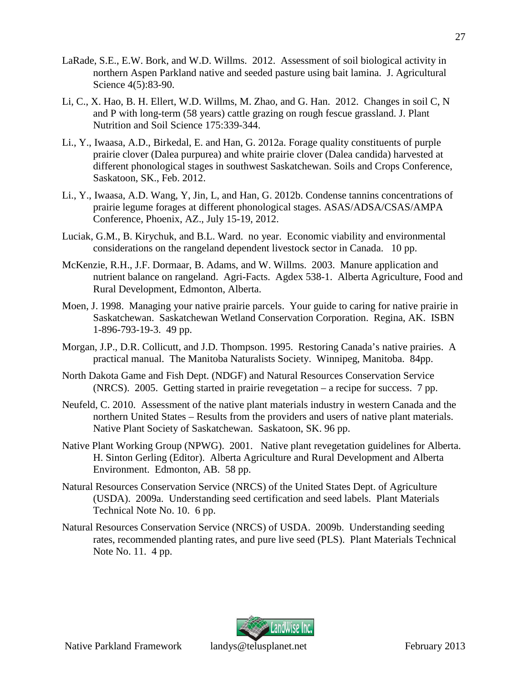- LaRade, S.E., E.W. Bork, and W.D. Willms. 2012. Assessment of soil biological activity in northern Aspen Parkland native and seeded pasture using bait lamina. J. Agricultural Science 4(5):83-90.
- Li, C., X. Hao, B. H. Ellert, W.D. Willms, M. Zhao, and G. Han. 2012. Changes in soil C, N and P with long-term (58 years) cattle grazing on rough fescue grassland. J. Plant Nutrition and Soil Science 175:339-344.
- Li., Y., Iwaasa, A.D., Birkedal, E. and Han, G. 2012a. Forage quality constituents of purple prairie clover (Dalea purpurea) and white prairie clover (Dalea candida) harvested at different phonological stages in southwest Saskatchewan. Soils and Crops Conference, Saskatoon, SK., Feb. 2012.
- Li., Y., Iwaasa, A.D. Wang, Y, Jin, L, and Han, G. 2012b. Condense tannins concentrations of prairie legume forages at different phonological stages. ASAS/ADSA/CSAS/AMPA Conference, Phoenix, AZ., July 15-19, 2012.
- Luciak, G.M., B. Kirychuk, and B.L. Ward. no year. Economic viability and environmental considerations on the rangeland dependent livestock sector in Canada. 10 pp.
- McKenzie, R.H., J.F. Dormaar, B. Adams, and W. Willms. 2003. Manure application and nutrient balance on rangeland. Agri-Facts. Agdex 538-1. Alberta Agriculture, Food and Rural Development, Edmonton, Alberta.
- Moen, J. 1998. Managing your native prairie parcels. Your guide to caring for native prairie in Saskatchewan. Saskatchewan Wetland Conservation Corporation. Regina, AK. ISBN 1-896-793-19-3. 49 pp.
- Morgan, J.P., D.R. Collicutt, and J.D. Thompson. 1995. Restoring Canada's native prairies. A practical manual. The Manitoba Naturalists Society. Winnipeg, Manitoba. 84pp.
- North Dakota Game and Fish Dept. (NDGF) and Natural Resources Conservation Service (NRCS). 2005. Getting started in prairie revegetation – a recipe for success. 7 pp.
- Neufeld, C. 2010. Assessment of the native plant materials industry in western Canada and the northern United States – Results from the providers and users of native plant materials. Native Plant Society of Saskatchewan. Saskatoon, SK. 96 pp.
- Native Plant Working Group (NPWG). 2001. Native plant revegetation guidelines for Alberta. H. Sinton Gerling (Editor). Alberta Agriculture and Rural Development and Alberta Environment. Edmonton, AB. 58 pp.
- Natural Resources Conservation Service (NRCS) of the United States Dept. of Agriculture (USDA). 2009a. Understanding seed certification and seed labels. Plant Materials Technical Note No. 10. 6 pp.
- Natural Resources Conservation Service (NRCS) of USDA. 2009b. Understanding seeding rates, recommended planting rates, and pure live seed (PLS). Plant Materials Technical Note No. 11. 4 pp.

![](_page_30_Picture_13.jpeg)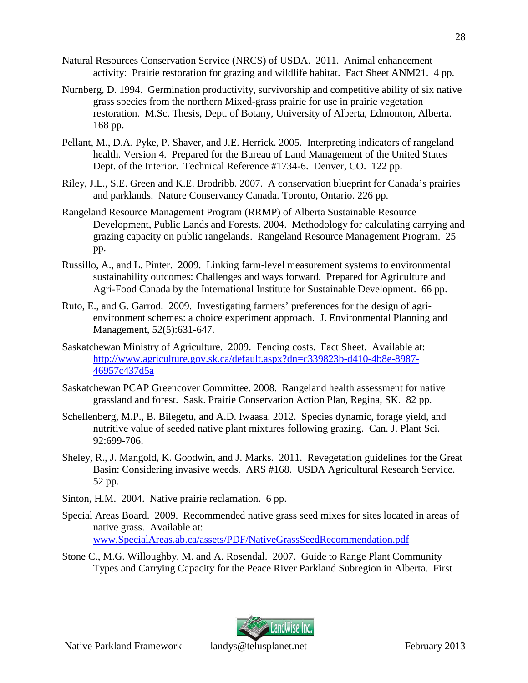- Natural Resources Conservation Service (NRCS) of USDA. 2011. Animal enhancement activity: Prairie restoration for grazing and wildlife habitat. Fact Sheet ANM21. 4 pp.
- Nurnberg, D. 1994. Germination productivity, survivorship and competitive ability of six native grass species from the northern Mixed-grass prairie for use in prairie vegetation restoration. M.Sc. Thesis, Dept. of Botany, University of Alberta, Edmonton, Alberta. 168 pp.
- Pellant, M., D.A. Pyke, P. Shaver, and J.E. Herrick. 2005. Interpreting indicators of rangeland health. Version 4. Prepared for the Bureau of Land Management of the United States Dept. of the Interior. Technical Reference #1734-6. Denver, CO. 122 pp.
- Riley, J.L., S.E. Green and K.E. Brodribb. 2007. A conservation blueprint for Canada's prairies and parklands. Nature Conservancy Canada. Toronto, Ontario. 226 pp.
- Rangeland Resource Management Program (RRMP) of Alberta Sustainable Resource Development, Public Lands and Forests. 2004. Methodology for calculating carrying and grazing capacity on public rangelands. Rangeland Resource Management Program. 25 pp.
- Russillo, A., and L. Pinter. 2009. Linking farm-level measurement systems to environmental sustainability outcomes: Challenges and ways forward. Prepared for Agriculture and Agri-Food Canada by the International Institute for Sustainable Development. 66 pp.
- Ruto, E., and G. Garrod. 2009. Investigating farmers' preferences for the design of agrienvironment schemes: a choice experiment approach. J. Environmental Planning and Management, 52(5):631-647.
- Saskatchewan Ministry of Agriculture. 2009. Fencing costs. Fact Sheet. Available at: http://www.agriculture.gov.sk.ca/default.aspx?dn=c339823b-d410-4b8e-8987- 46957c437d5a
- Saskatchewan PCAP Greencover Committee. 2008. Rangeland health assessment for native grassland and forest. Sask. Prairie Conservation Action Plan, Regina, SK. 82 pp.
- Schellenberg, M.P., B. Bilegetu, and A.D. Iwaasa. 2012. Species dynamic, forage yield, and nutritive value of seeded native plant mixtures following grazing. Can. J. Plant Sci. 92:699-706.
- Sheley, R., J. Mangold, K. Goodwin, and J. Marks. 2011. Revegetation guidelines for the Great Basin: Considering invasive weeds. ARS #168. USDA Agricultural Research Service. 52 pp.
- Sinton, H.M. 2004. Native prairie reclamation. 6 pp.
- Special Areas Board. 2009. Recommended native grass seed mixes for sites located in areas of native grass. Available at: www.SpecialAreas.ab.ca/assets/PDF/NativeGrassSeedRecommendation.pdf
- Stone C., M.G. Willoughby, M. and A. Rosendal. 2007. Guide to Range Plant Community Types and Carrying Capacity for the Peace River Parkland Subregion in Alberta. First

![](_page_31_Picture_14.jpeg)

28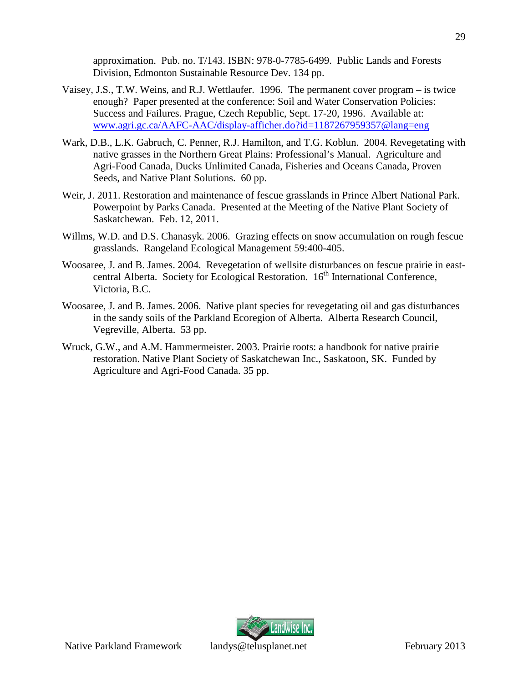approximation. Pub. no. T/143. ISBN: 978-0-7785-6499. Public Lands and Forests Division, Edmonton Sustainable Resource Dev. 134 pp.

- Vaisey, J.S., T.W. Weins, and R.J. Wettlaufer. 1996. The permanent cover program is twice enough? Paper presented at the conference: Soil and Water Conservation Policies: Success and Failures. Prague, Czech Republic, Sept. 17-20, 1996. Available at: www.agri.gc.ca/AAFC-AAC/display-afficher.do?id=1187267959357@lang=eng
- Wark, D.B., L.K. Gabruch, C. Penner, R.J. Hamilton, and T.G. Koblun. 2004. Revegetating with native grasses in the Northern Great Plains: Professional's Manual. Agriculture and Agri-Food Canada, Ducks Unlimited Canada, Fisheries and Oceans Canada, Proven Seeds, and Native Plant Solutions. 60 pp.
- Weir, J. 2011. Restoration and maintenance of fescue grasslands in Prince Albert National Park. Powerpoint by Parks Canada. Presented at the Meeting of the Native Plant Society of Saskatchewan. Feb. 12, 2011.
- Willms, W.D. and D.S. Chanasyk. 2006. Grazing effects on snow accumulation on rough fescue grasslands. Rangeland Ecological Management 59:400-405.
- Woosaree, J. and B. James. 2004. Revegetation of wellsite disturbances on fescue prairie in eastcentral Alberta. Society for Ecological Restoration. 16<sup>th</sup> International Conference, Victoria, B.C.
- Woosaree, J. and B. James. 2006. Native plant species for revegetating oil and gas disturbances in the sandy soils of the Parkland Ecoregion of Alberta. Alberta Research Council, Vegreville, Alberta. 53 pp.
- Wruck, G.W., and A.M. Hammermeister. 2003. Prairie roots: a handbook for native prairie restoration. Native Plant Society of Saskatchewan Inc., Saskatoon, SK. Funded by Agriculture and Agri-Food Canada. 35 pp.

![](_page_32_Picture_8.jpeg)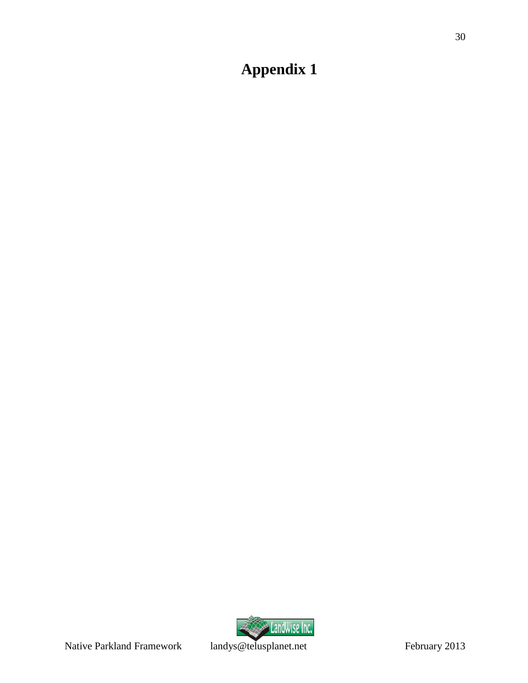# <span id="page-33-0"></span>**Appendix 1**